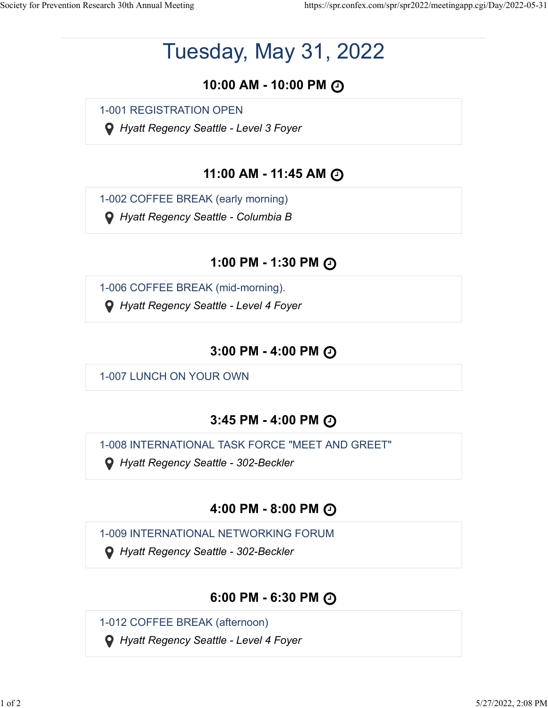# Tuesday, May 31, 2022

# **10:00 AM - 10:00 PM**

1-001 REGISTRATION OPEN

 *Hyatt Regency Seattle - Level 3 Foyer*

# **11:00 AM - 11:45 AM**

1-002 COFFEE BREAK (early morning)

 *Hyatt Regency Seattle - Columbia B*

# **1:00 PM - 1:30 PM**

1-006 COFFEE BREAK (mid-morning).

 *Hyatt Regency Seattle - Level 4 Foyer*

### **3:00 PM - 4:00 PM**

1-007 LUNCH ON YOUR OWN

# **3:45 PM - 4:00 PM**

1-008 INTERNATIONAL TASK FORCE "MEET AND GREET"

 *Hyatt Regency Seattle - 302-Beckler*

# **4:00 PM - 8:00 PM**

1-009 INTERNATIONAL NETWORKING FORUM

 *Hyatt Regency Seattle - 302-Beckler*

# **6:00 PM - 6:30 PM**

1-012 COFFEE BREAK (afternoon)

 *Hyatt Regency Seattle - Level 4 Foyer*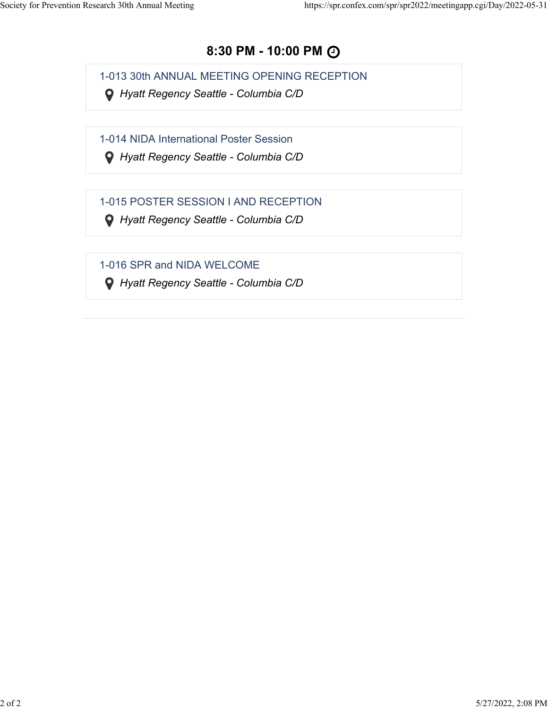### **8:30 PM - 10:00 PM**

1-013 30th ANNUAL MEETING OPENING RECEPTION

 *Hyatt Regency Seattle - Columbia C/D*

1-014 NIDA International Poster Session

 *Hyatt Regency Seattle - Columbia C/D*

1-015 POSTER SESSION I AND RECEPTION

 *Hyatt Regency Seattle - Columbia C/D*

1-016 SPR and NIDA WELCOME

 *Hyatt Regency Seattle - Columbia C/D*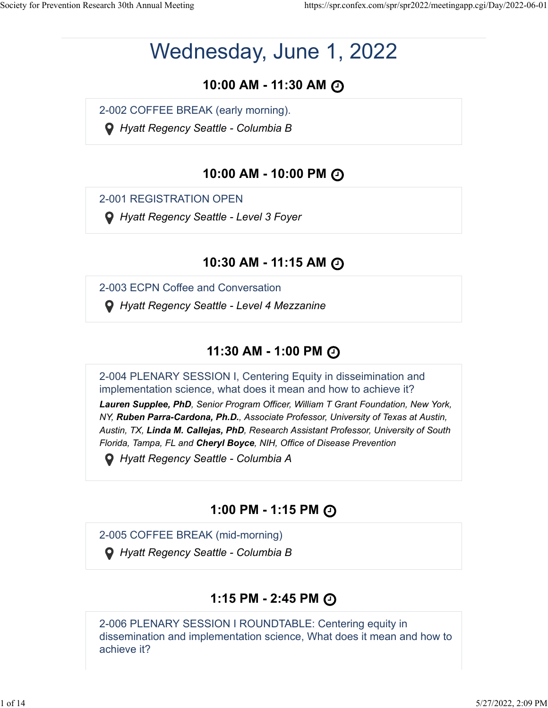# Wednesday, June 1, 2022

# **10:00 AM - 11:30 AM**

2-002 COFFEE BREAK (early morning).

 *Hyatt Regency Seattle - Columbia B*

# **10:00 AM - 10:00 PM**

2-001 REGISTRATION OPEN

 *Hyatt Regency Seattle - Level 3 Foyer*

### **10:30 AM - 11:15 AM**

2-003 ECPN Coffee and Conversation

 *Hyatt Regency Seattle - Level 4 Mezzanine*

# **11:30 AM - 1:00 PM**

2-004 PLENARY SESSION I, Centering Equity in disseimination and implementation science, what does it mean and how to achieve it? *Lauren Supplee, PhD, Senior Program Officer, William T Grant Foundation, New York, NY, Ruben Parra-Cardona, Ph.D., Associate Professor, University of Texas at Austin, Austin, TX, Linda M. Callejas, PhD, Research Assistant Professor, University of South Florida, Tampa, FL and Cheryl Boyce, NIH, Office of Disease Prevention*

 *Hyatt Regency Seattle - Columbia A*

# **1:00 PM - 1:15 PM**

2-005 COFFEE BREAK (mid-morning)

 *Hyatt Regency Seattle - Columbia B*

# **1:15 PM - 2:45 PM**

2-006 PLENARY SESSION I ROUNDTABLE: Centering equity in dissemination and implementation science, What does it mean and how to achieve it?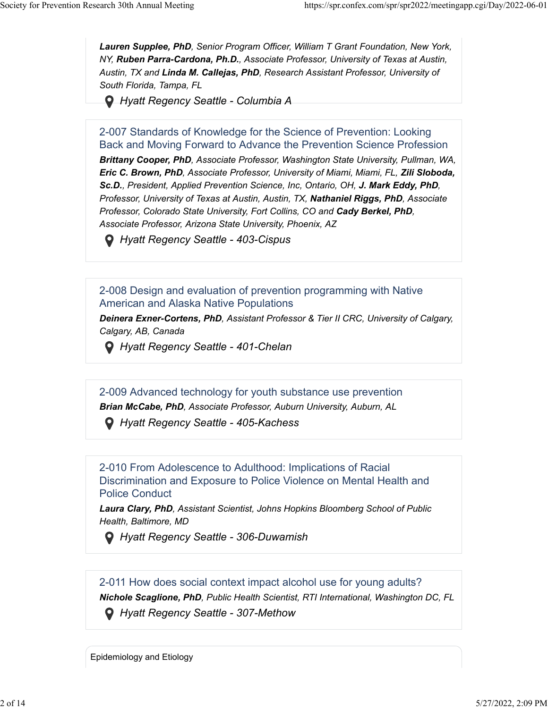*Lauren Supplee, PhD, Senior Program Officer, William T Grant Foundation, New York, NY, Ruben Parra-Cardona, Ph.D., Associate Professor, University of Texas at Austin, Austin, TX and Linda M. Callejas, PhD, Research Assistant Professor, University of South Florida, Tampa, FL*

 *Hyatt Regency Seattle - Columbia A*

2-007 Standards of Knowledge for the Science of Prevention: Looking Back and Moving Forward to Advance the Prevention Science Profession *Brittany Cooper, PhD, Associate Professor, Washington State University, Pullman, WA, Eric C. Brown, PhD, Associate Professor, University of Miami, Miami, FL, Zili Sloboda, Sc.D., President, Applied Prevention Science, Inc, Ontario, OH, J. Mark Eddy, PhD, Professor, University of Texas at Austin, Austin, TX, Nathaniel Riggs, PhD, Associate Professor, Colorado State University, Fort Collins, CO and Cady Berkel, PhD, Associate Professor, Arizona State University, Phoenix, AZ*

 *Hyatt Regency Seattle - 403-Cispus*

2-008 Design and evaluation of prevention programming with Native American and Alaska Native Populations

*Deinera Exner-Cortens, PhD, Assistant Professor & Tier II CRC, University of Calgary, Calgary, AB, Canada*

 *Hyatt Regency Seattle - 401-Chelan*

2-009 Advanced technology for youth substance use prevention *Brian McCabe, PhD, Associate Professor, Auburn University, Auburn, AL*

 *Hyatt Regency Seattle - 405-Kachess*

2-010 From Adolescence to Adulthood: Implications of Racial Discrimination and Exposure to Police Violence on Mental Health and Police Conduct

*Laura Clary, PhD, Assistant Scientist, Johns Hopkins Bloomberg School of Public Health, Baltimore, MD*

 *Hyatt Regency Seattle - 306-Duwamish*

2-011 How does social context impact alcohol use for young adults? *Nichole Scaglione, PhD, Public Health Scientist, RTI International, Washington DC, FL Hyatt Regency Seattle - 307-Methow*

Epidemiology and Etiology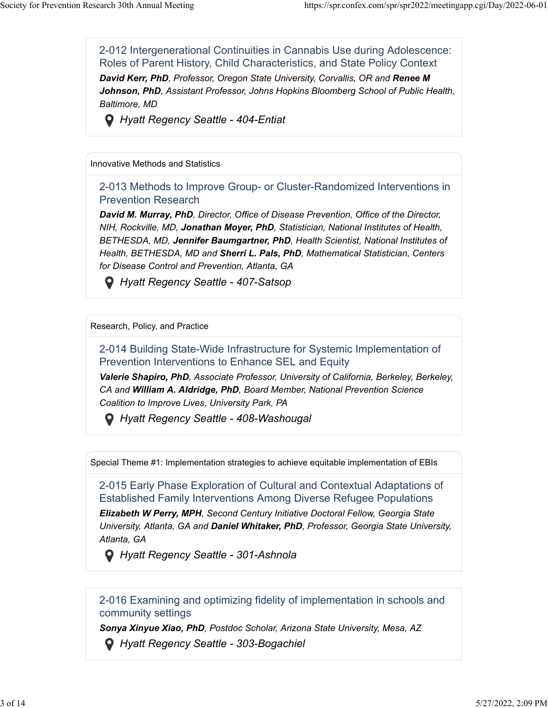2-012 Intergenerational Continuities in Cannabis Use during Adolescence: Roles of Parent History, Child Characteristics, and State Policy Context **David Kerr, PhD**, Professor, Oregon State University, Corvallis, OR and Renee M *Johnson, PhD, Assistant Professor, Johns Hopkins Bloomberg School of Public Health, Baltimore, MD*



 *Hyatt Regency Seattle - 404-Entiat*

Innovative Methods and Statistics

2-013 Methods to Improve Group- or Cluster-Randomized Interventions in Prevention Research

*David M. Murray, PhD, Director, Office of Disease Prevention, Office of the Director, NIH, Rockville, MD, Jonathan Moyer, PhD, Statistician, National Institutes of Health, BETHESDA, MD, Jennifer Baumgartner, PhD, Health Scientist, National Institutes of Health, BETHESDA, MD and Sherri L. Pals, PhD, Mathematical Statistician, Centers for Disease Control and Prevention, Atlanta, GA*

 *Hyatt Regency Seattle - 407-Satsop*

#### Research, Policy, and Practice

2-014 Building State-Wide Infrastructure for Systemic Implementation of Prevention Interventions to Enhance SEL and Equity

*Valerie Shapiro, PhD, Associate Professor, University of California, Berkeley, Berkeley, CA and William A. Aldridge, PhD, Board Member, National Prevention Science Coalition to Improve Lives, University Park, PA*

 *Hyatt Regency Seattle - 408-Washougal*

Special Theme #1: Implementation strategies to achieve equitable implementation of EBIs

2-015 Early Phase Exploration of Cultural and Contextual Adaptations of Established Family Interventions Among Diverse Refugee Populations

*Elizabeth W Perry, MPH, Second Century Initiative Doctoral Fellow, Georgia State University, Atlanta, GA and Daniel Whitaker, PhD, Professor, Georgia State University, Atlanta, GA*

 *Hyatt Regency Seattle - 301-Ashnola*

#### 2-016 Examining and optimizing fidelity of implementation in schools and community settings

*Sonya Xinyue Xiao, PhD, Postdoc Scholar, Arizona State University, Mesa, AZ*

 *Hyatt Regency Seattle - 303-Bogachiel*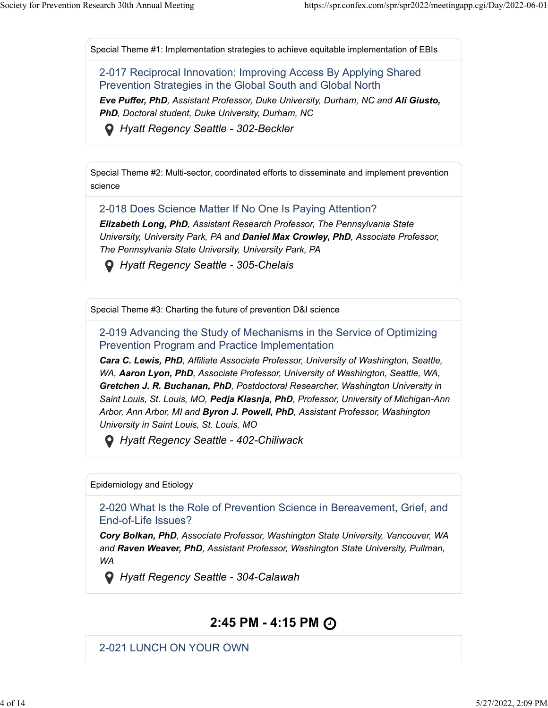Special Theme #1: Implementation strategies to achieve equitable implementation of EBIs

2-017 Reciprocal Innovation: Improving Access By Applying Shared Prevention Strategies in the Global South and Global North *Eve Puffer, PhD, Assistant Professor, Duke University, Durham, NC and Ali Giusto, PhD, Doctoral student, Duke University, Durham, NC*

 *Hyatt Regency Seattle - 302-Beckler*

Special Theme #2: Multi-sector, coordinated efforts to disseminate and implement prevention science

2-018 Does Science Matter If No One Is Paying Attention?

*Elizabeth Long, PhD, Assistant Research Professor, The Pennsylvania State University, University Park, PA and Daniel Max Crowley, PhD, Associate Professor, The Pennsylvania State University, University Park, PA*

 *Hyatt Regency Seattle - 305-Chelais*

Special Theme #3: Charting the future of prevention D&I science

2-019 Advancing the Study of Mechanisms in the Service of Optimizing Prevention Program and Practice Implementation

*Cara C. Lewis, PhD, Affiliate Associate Professor, University of Washington, Seattle, WA, Aaron Lyon, PhD, Associate Professor, University of Washington, Seattle, WA, Gretchen J. R. Buchanan, PhD, Postdoctoral Researcher, Washington University in Saint Louis, St. Louis, MO, Pedja Klasnja, PhD, Professor, University of Michigan-Ann Arbor, Ann Arbor, MI and Byron J. Powell, PhD, Assistant Professor, Washington University in Saint Louis, St. Louis, MO*

 *Hyatt Regency Seattle - 402-Chiliwack*

Epidemiology and Etiology

2-020 What Is the Role of Prevention Science in Bereavement, Grief, and End-of-Life Issues?

*Cory Bolkan, PhD, Associate Professor, Washington State University, Vancouver, WA and Raven Weaver, PhD, Assistant Professor, Washington State University, Pullman, WA*

 *Hyatt Regency Seattle - 304-Calawah*

### **2:45 PM - 4:15 PM**

2-021 LUNCH ON YOUR OWN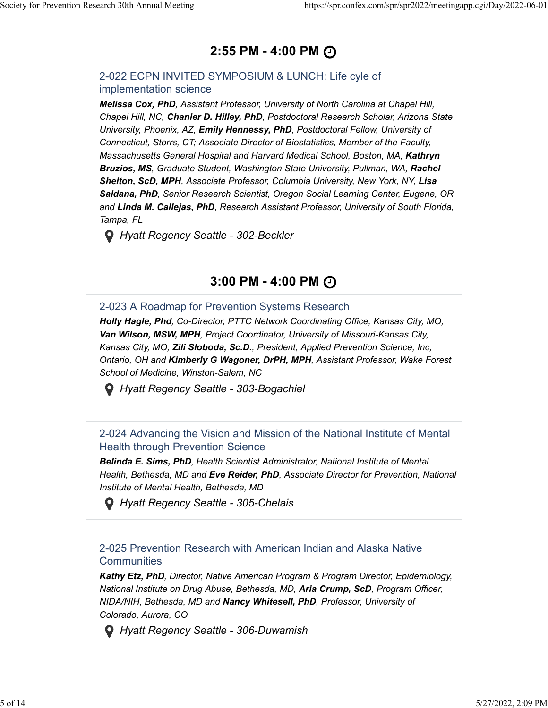### **2:55 PM - 4:00 PM**

#### 2-022 ECPN INVITED SYMPOSIUM & LUNCH: Life cyle of implementation science

*Melissa Cox, PhD, Assistant Professor, University of North Carolina at Chapel Hill, Chapel Hill, NC, Chanler D. Hilley, PhD, Postdoctoral Research Scholar, Arizona State University, Phoenix, AZ, Emily Hennessy, PhD, Postdoctoral Fellow, University of Connecticut, Storrs, CT; Associate Director of Biostatistics, Member of the Faculty, Massachusetts General Hospital and Harvard Medical School, Boston, MA, Kathryn Bruzios, MS, Graduate Student, Washington State University, Pullman, WA, Rachel Shelton, ScD, MPH, Associate Professor, Columbia University, New York, NY, Lisa Saldana, PhD, Senior Research Scientist, Oregon Social Learning Center, Eugene, OR and Linda M. Callejas, PhD, Research Assistant Professor, University of South Florida, Tampa, FL*

 *Hyatt Regency Seattle - 302-Beckler*

### **3:00 PM - 4:00 PM**

#### 2-023 A Roadmap for Prevention Systems Research

*Holly Hagle, Phd, Co-Director, PTTC Network Coordinating Office, Kansas City, MO, Van Wilson, MSW, MPH, Project Coordinator, University of Missouri-Kansas City, Kansas City, MO, Zili Sloboda, Sc.D., President, Applied Prevention Science, Inc, Ontario, OH and Kimberly G Wagoner, DrPH, MPH, Assistant Professor, Wake Forest School of Medicine, Winston-Salem, NC*

 *Hyatt Regency Seattle - 303-Bogachiel*

#### 2-024 Advancing the Vision and Mission of the National Institute of Mental Health through Prevention Science

*Belinda E. Sims, PhD, Health Scientist Administrator, National Institute of Mental Health, Bethesda, MD and Eve Reider, PhD, Associate Director for Prevention, National Institute of Mental Health, Bethesda, MD*

 *Hyatt Regency Seattle - 305-Chelais*

2-025 Prevention Research with American Indian and Alaska Native **Communities** 

*Kathy Etz, PhD, Director, Native American Program & Program Director, Epidemiology, National Institute on Drug Abuse, Bethesda, MD, Aria Crump, ScD, Program Officer, NIDA/NIH, Bethesda, MD and Nancy Whitesell, PhD, Professor, University of Colorado, Aurora, CO*

 *Hyatt Regency Seattle - 306-Duwamish*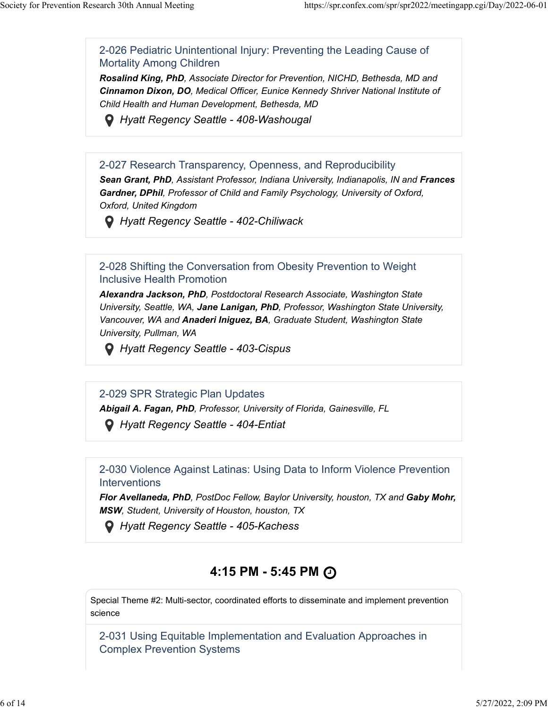2-026 Pediatric Unintentional Injury: Preventing the Leading Cause of Mortality Among Children

*Rosalind King, PhD, Associate Director for Prevention, NICHD, Bethesda, MD and Cinnamon Dixon, DO, Medical Officer, Eunice Kennedy Shriver National Institute of Child Health and Human Development, Bethesda, MD*



 *Hyatt Regency Seattle - 408-Washougal*

#### 2-027 Research Transparency, Openness, and Reproducibility

**Sean Grant, PhD**, Assistant Professor, Indiana University, Indianapolis, IN and Frances *Gardner, DPhil, Professor of Child and Family Psychology, University of Oxford, Oxford, United Kingdom*

 *Hyatt Regency Seattle - 402-Chiliwack*

#### 2-028 Shifting the Conversation from Obesity Prevention to Weight Inclusive Health Promotion

*Alexandra Jackson, PhD, Postdoctoral Research Associate, Washington State University, Seattle, WA, Jane Lanigan, PhD, Professor, Washington State University, Vancouver, WA and Anaderi Iniguez, BA, Graduate Student, Washington State University, Pullman, WA*

 *Hyatt Regency Seattle - 403-Cispus*

2-029 SPR Strategic Plan Updates

*Abigail A. Fagan, PhD, Professor, University of Florida, Gainesville, FL*

 *Hyatt Regency Seattle - 404-Entiat*

#### 2-030 Violence Against Latinas: Using Data to Inform Violence Prevention **Interventions**

*Flor Avellaneda, PhD, PostDoc Fellow, Baylor University, houston, TX and Gaby Mohr, MSW, Student, University of Houston, houston, TX*

 *Hyatt Regency Seattle - 405-Kachess*

# **4:15 PM - 5:45 PM**

Special Theme #2: Multi-sector, coordinated efforts to disseminate and implement prevention science

2-031 Using Equitable Implementation and Evaluation Approaches in Complex Prevention Systems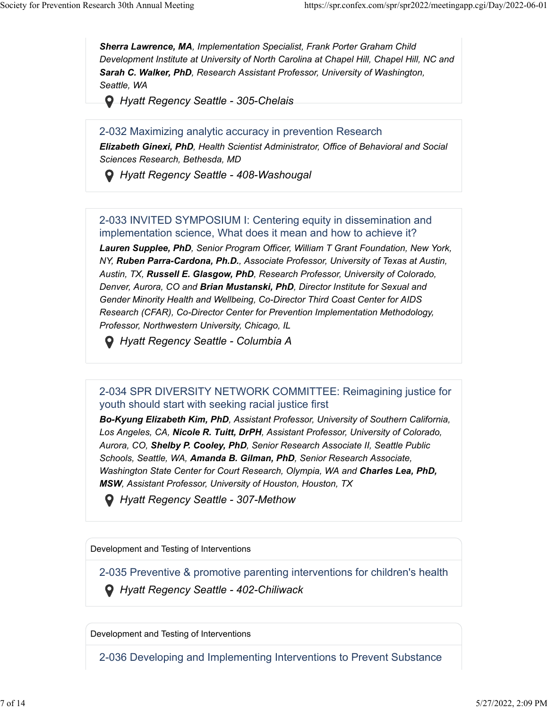*Sherra Lawrence, MA, Implementation Specialist, Frank Porter Graham Child Development Institute at University of North Carolina at Chapel Hill, Chapel Hill, NC and Sarah C. Walker, PhD, Research Assistant Professor, University of Washington, Seattle, WA*

 *Hyatt Regency Seattle - 305-Chelais*

2-032 Maximizing analytic accuracy in prevention Research

*Elizabeth Ginexi, PhD, Health Scientist Administrator, Office of Behavioral and Social Sciences Research, Bethesda, MD*

 *Hyatt Regency Seattle - 408-Washougal*

#### 2-033 INVITED SYMPOSIUM I: Centering equity in dissemination and implementation science, What does it mean and how to achieve it?

*Lauren Supplee, PhD, Senior Program Officer, William T Grant Foundation, New York, NY, Ruben Parra-Cardona, Ph.D., Associate Professor, University of Texas at Austin, Austin, TX, Russell E. Glasgow, PhD, Research Professor, University of Colorado, Denver, Aurora, CO and Brian Mustanski, PhD, Director Institute for Sexual and Gender Minority Health and Wellbeing, Co-Director Third Coast Center for AIDS Research (CFAR), Co-Director Center for Prevention Implementation Methodology, Professor, Northwestern University, Chicago, IL*

 *Hyatt Regency Seattle - Columbia A*

### 2-034 SPR DIVERSITY NETWORK COMMITTEE: Reimagining justice for youth should start with seeking racial justice first

*Bo-Kyung Elizabeth Kim, PhD, Assistant Professor, University of Southern California, Los Angeles, CA, Nicole R. Tuitt, DrPH, Assistant Professor, University of Colorado, Aurora, CO, Shelby P. Cooley, PhD, Senior Research Associate II, Seattle Public Schools, Seattle, WA, Amanda B. Gilman, PhD, Senior Research Associate, Washington State Center for Court Research, Olympia, WA and Charles Lea, PhD, MSW, Assistant Professor, University of Houston, Houston, TX*

 *Hyatt Regency Seattle - 307-Methow*

Development and Testing of Interventions

2-035 Preventive & promotive parenting interventions for children's health

 *Hyatt Regency Seattle - 402-Chiliwack*

Development and Testing of Interventions

2-036 Developing and Implementing Interventions to Prevent Substance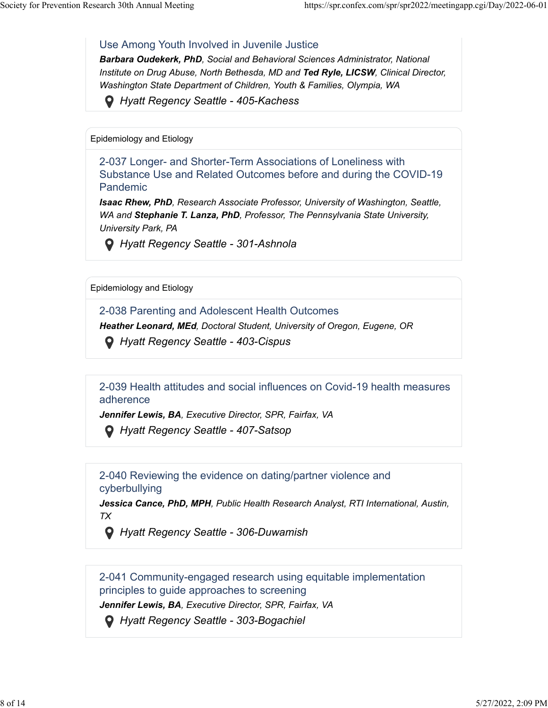#### Use Among Youth Involved in Juvenile Justice

*Barbara Oudekerk, PhD, Social and Behavioral Sciences Administrator, National Institute on Drug Abuse, North Bethesda, MD and Ted Ryle, LICSW, Clinical Director, Washington State Department of Children, Youth & Families, Olympia, WA*

 *Hyatt Regency Seattle - 405-Kachess*

Epidemiology and Etiology

2-037 Longer- and Shorter-Term Associations of Loneliness with Substance Use and Related Outcomes before and during the COVID-19 Pandemic

*Isaac Rhew, PhD, Research Associate Professor, University of Washington, Seattle, WA and Stephanie T. Lanza, PhD, Professor, The Pennsylvania State University, University Park, PA*

 *Hyatt Regency Seattle - 301-Ashnola*

Epidemiology and Etiology

2-038 Parenting and Adolescent Health Outcomes

*Heather Leonard, MEd, Doctoral Student, University of Oregon, Eugene, OR*

 *Hyatt Regency Seattle - 403-Cispus*

2-039 Health attitudes and social influences on Covid-19 health measures adherence

*Jennifer Lewis, BA, Executive Director, SPR, Fairfax, VA*

 *Hyatt Regency Seattle - 407-Satsop*

2-040 Reviewing the evidence on dating/partner violence and cyberbullying

*Jessica Cance, PhD, MPH, Public Health Research Analyst, RTI International, Austin, TX*

 *Hyatt Regency Seattle - 306-Duwamish*

2-041 Community-engaged research using equitable implementation principles to guide approaches to screening

*Jennifer Lewis, BA, Executive Director, SPR, Fairfax, VA*

 *Hyatt Regency Seattle - 303-Bogachiel*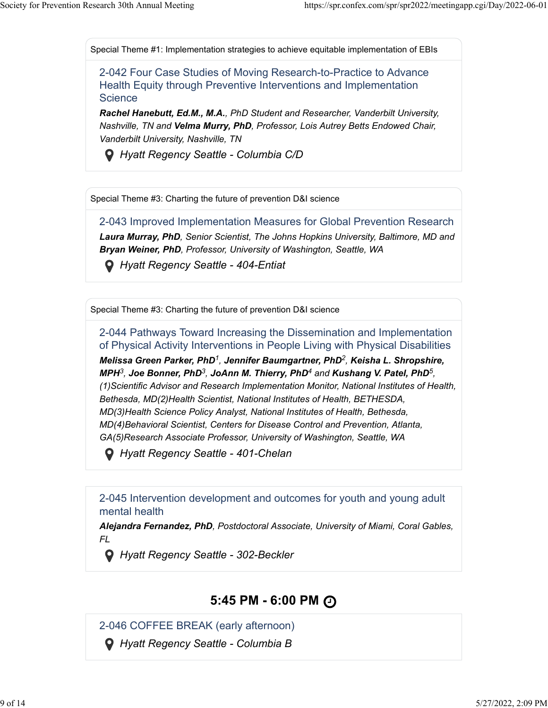Special Theme #1: Implementation strategies to achieve equitable implementation of EBIs

2-042 Four Case Studies of Moving Research-to-Practice to Advance Health Equity through Preventive Interventions and Implementation **Science** 

*Rachel Hanebutt, Ed.M., M.A., PhD Student and Researcher, Vanderbilt University, Nashville, TN and Velma Murry, PhD, Professor, Lois Autrey Betts Endowed Chair, Vanderbilt University, Nashville, TN*

 *Hyatt Regency Seattle - Columbia C/D*

Special Theme #3: Charting the future of prevention D&I science

2-043 Improved Implementation Measures for Global Prevention Research *Laura Murray, PhD, Senior Scientist, The Johns Hopkins University, Baltimore, MD and Bryan Weiner, PhD, Professor, University of Washington, Seattle, WA*

 *Hyatt Regency Seattle - 404-Entiat*

Special Theme #3: Charting the future of prevention D&I science

2-044 Pathways Toward Increasing the Dissemination and Implementation of Physical Activity Interventions in People Living with Physical Disabilities  $M$ elissa Green Parker, PhD<sup>1</sup>, Jennifer Baumgartner, PhD<sup>2</sup>, Keisha L. Shropshire, *MPH<sup>3</sup>, Joe Bonner, PhD<sup>3</sup>, JoAnn M. Thierry, PhD<sup>4</sup> and Kushang V. Patel, PhD<sup>5</sup>, (1)Scientific Advisor and Research Implementation Monitor, National Institutes of Health, Bethesda, MD(2)Health Scientist, National Institutes of Health, BETHESDA, MD(3)Health Science Policy Analyst, National Institutes of Health, Bethesda, MD(4)Behavioral Scientist, Centers for Disease Control and Prevention, Atlanta, GA(5)Research Associate Professor, University of Washington, Seattle, WA*

 *Hyatt Regency Seattle - 401-Chelan*

2-045 Intervention development and outcomes for youth and young adult mental health

*Alejandra Fernandez, PhD, Postdoctoral Associate, University of Miami, Coral Gables, FL*

 *Hyatt Regency Seattle - 302-Beckler*

### **5:45 PM - 6:00 PM**

2-046 COFFEE BREAK (early afternoon)

 *Hyatt Regency Seattle - Columbia B*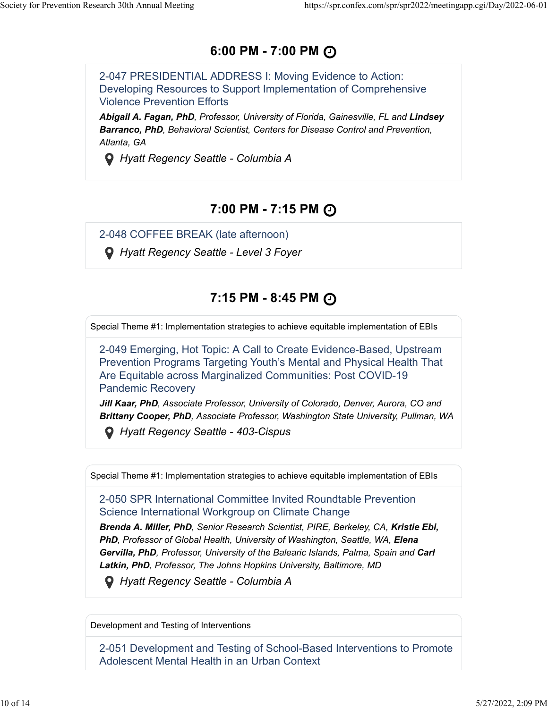### **6:00 PM - 7:00 PM**

2-047 PRESIDENTIAL ADDRESS I: Moving Evidence to Action: Developing Resources to Support Implementation of Comprehensive Violence Prevention Efforts

*Abigail A. Fagan, PhD, Professor, University of Florida, Gainesville, FL and Lindsey Barranco, PhD, Behavioral Scientist, Centers for Disease Control and Prevention, Atlanta, GA*

 *Hyatt Regency Seattle - Columbia A*

### **7:00 PM - 7:15 PM**

2-048 COFFEE BREAK (late afternoon)

 *Hyatt Regency Seattle - Level 3 Foyer*

# **7:15 PM - 8:45 PM**

Special Theme #1: Implementation strategies to achieve equitable implementation of EBIs

2-049 Emerging, Hot Topic: A Call to Create Evidence-Based, Upstream Prevention Programs Targeting Youth's Mental and Physical Health That Are Equitable across Marginalized Communities: Post COVID-19 Pandemic Recovery

*Jill Kaar, PhD, Associate Professor, University of Colorado, Denver, Aurora, CO and Brittany Cooper, PhD, Associate Professor, Washington State University, Pullman, WA*

 *Hyatt Regency Seattle - 403-Cispus*

Special Theme #1: Implementation strategies to achieve equitable implementation of EBIs

2-050 SPR International Committee Invited Roundtable Prevention Science International Workgroup on Climate Change

*Brenda A. Miller, PhD, Senior Research Scientist, PIRE, Berkeley, CA, Kristie Ebi,* **PhD**, Professor of Global Health, University of Washington, Seattle, WA, Elena *Gervilla, PhD, Professor, University of the Balearic Islands, Palma, Spain and Carl Latkin, PhD, Professor, The Johns Hopkins University, Baltimore, MD*

 *Hyatt Regency Seattle - Columbia A*

Development and Testing of Interventions

2-051 Development and Testing of School-Based Interventions to Promote Adolescent Mental Health in an Urban Context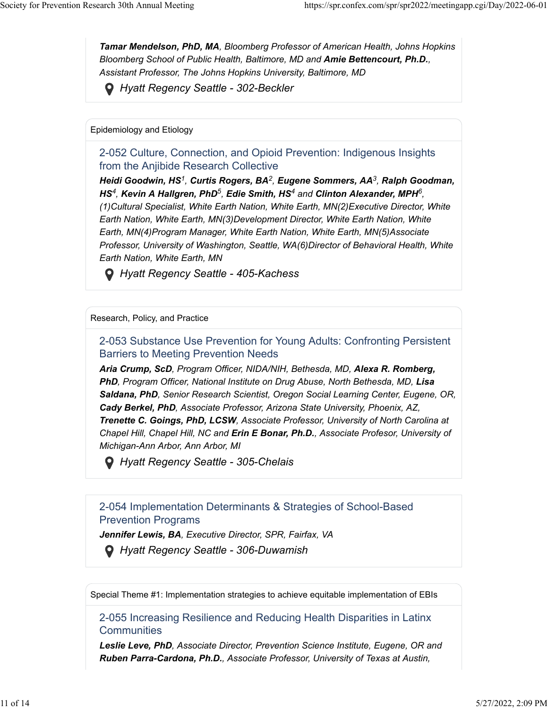*Tamar Mendelson, PhD, MA, Bloomberg Professor of American Health, Johns Hopkins Bloomberg School of Public Health, Baltimore, MD and Amie Bettencourt, Ph.D., Assistant Professor, The Johns Hopkins University, Baltimore, MD*

 *Hyatt Regency Seattle - 302-Beckler*

Epidemiology and Etiology

2-052 Culture, Connection, and Opioid Prevention: Indigenous Insights from the Anjibide Research Collective

*Heidi Goodwin, HS , Curtis Rogers, BA , Eugene Sommers, AA , Ralph Goodman, 12 3 HS<sup>4</sup>, Kevin A Hallgren, PhD<sup>5</sup>, Edie Smith, HS<sup>4</sup> and Clinton Alexander, MPH<sup>6</sup>, (1)Cultural Specialist, White Earth Nation, White Earth, MN(2)Executive Director, White Earth Nation, White Earth, MN(3)Development Director, White Earth Nation, White Earth, MN(4)Program Manager, White Earth Nation, White Earth, MN(5)Associate Professor, University of Washington, Seattle, WA(6)Director of Behavioral Health, White Earth Nation, White Earth, MN*

 *Hyatt Regency Seattle - 405-Kachess*

#### Research, Policy, and Practice

2-053 Substance Use Prevention for Young Adults: Confronting Persistent Barriers to Meeting Prevention Needs

*Aria Crump, ScD, Program Officer, NIDA/NIH, Bethesda, MD, Alexa R. Romberg,* **PhD**, Program Officer, National Institute on Drug Abuse, North Bethesda, MD, Lisa *Saldana, PhD, Senior Research Scientist, Oregon Social Learning Center, Eugene, OR, Cady Berkel, PhD, Associate Professor, Arizona State University, Phoenix, AZ, Trenette C. Goings, PhD, LCSW, Associate Professor, University of North Carolina at Chapel Hill, Chapel Hill, NC and Erin E Bonar, Ph.D., Associate Profesor, University of Michigan-Ann Arbor, Ann Arbor, MI*

 *Hyatt Regency Seattle - 305-Chelais*

#### 2-054 Implementation Determinants & Strategies of School-Based Prevention Programs

*Jennifer Lewis, BA, Executive Director, SPR, Fairfax, VA*

 *Hyatt Regency Seattle - 306-Duwamish*

Special Theme #1: Implementation strategies to achieve equitable implementation of EBIs

2-055 Increasing Resilience and Reducing Health Disparities in Latinx **Communities** 

*Leslie Leve, PhD, Associate Director, Prevention Science Institute, Eugene, OR and Ruben Parra-Cardona, Ph.D., Associate Professor, University of Texas at Austin,*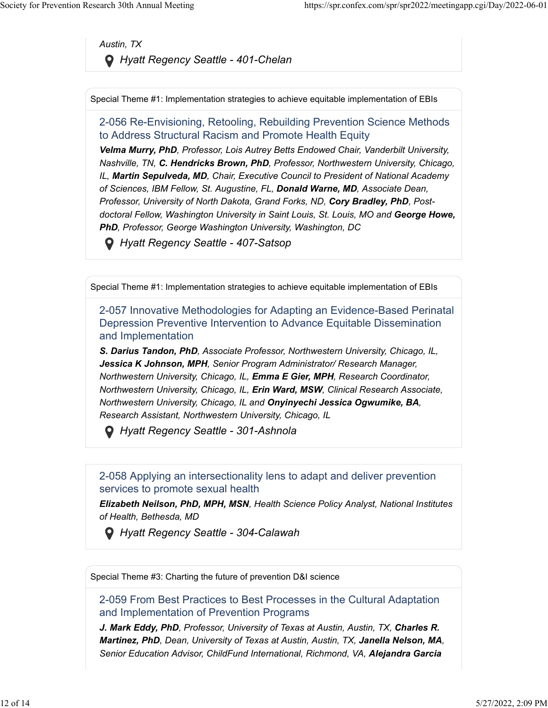*Austin, TX Hyatt Regency Seattle - 401-Chelan*

Special Theme #1: Implementation strategies to achieve equitable implementation of EBIs

#### 2-056 Re-Envisioning, Retooling, Rebuilding Prevention Science Methods to Address Structural Racism and Promote Health Equity

*Velma Murry, PhD, Professor, Lois Autrey Betts Endowed Chair, Vanderbilt University, Nashville, TN, C. Hendricks Brown, PhD, Professor, Northwestern University, Chicago, IL, Martin Sepulveda, MD, Chair, Executive Council to President of National Academy of Sciences, IBM Fellow, St. Augustine, FL, Donald Warne, MD, Associate Dean, Professor, University of North Dakota, Grand Forks, ND, Cory Bradley, PhD, Postdoctoral Fellow, Washington University in Saint Louis, St. Louis, MO and George Howe, PhD, Professor, George Washington University, Washington, DC*

 *Hyatt Regency Seattle - 407-Satsop*

Special Theme #1: Implementation strategies to achieve equitable implementation of EBIs

2-057 Innovative Methodologies for Adapting an Evidence-Based Perinatal Depression Preventive Intervention to Advance Equitable Dissemination and Implementation

*S. Darius Tandon, PhD, Associate Professor, Northwestern University, Chicago, IL, Jessica K Johnson, MPH, Senior Program Administrator/ Research Manager, Northwestern University, Chicago, IL, Emma E Gier, MPH, Research Coordinator, Northwestern University, Chicago, IL, Erin Ward, MSW, Clinical Research Associate, Northwestern University, Chicago, IL and Onyinyechi Jessica Ogwumike, BA, Research Assistant, Northwestern University, Chicago, IL*

 *Hyatt Regency Seattle - 301-Ashnola*

2-058 Applying an intersectionality lens to adapt and deliver prevention services to promote sexual health

*Elizabeth Neilson, PhD, MPH, MSN, Health Science Policy Analyst, National Institutes of Health, Bethesda, MD*

 *Hyatt Regency Seattle - 304-Calawah*

Special Theme #3: Charting the future of prevention D&I science

2-059 From Best Practices to Best Processes in the Cultural Adaptation and Implementation of Prevention Programs

*J. Mark Eddy, PhD, Professor, University of Texas at Austin, Austin, TX, Charles R. Martinez, PhD, Dean, University of Texas at Austin, Austin, TX, Janella Nelson, MA, Senior Education Advisor, ChildFund International, Richmond, VA, Alejandra Garcia*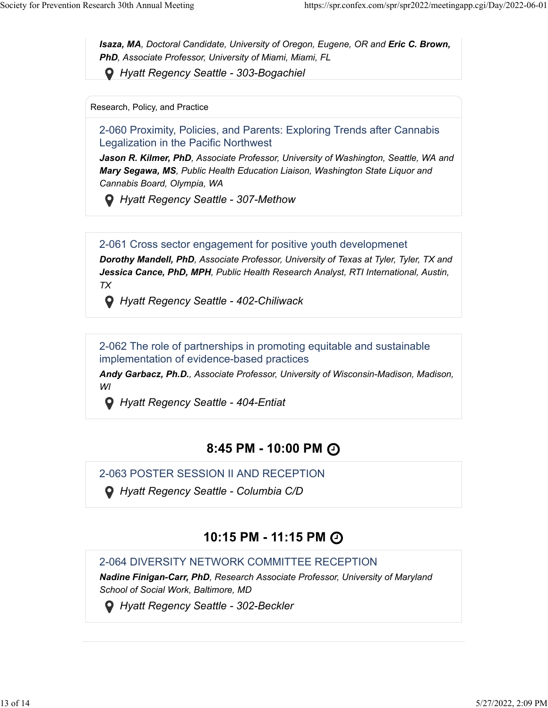**Isaza, MA**, Doctoral Candidate, University of Oregon, Eugene, OR and *Eric C. Brown*, *PhD, Associate Professor, University of Miami, Miami, FL*

 *Hyatt Regency Seattle - 303-Bogachiel*

Research, Policy, and Practice

2-060 Proximity, Policies, and Parents: Exploring Trends after Cannabis Legalization in the Pacific Northwest

*Jason R. Kilmer, PhD, Associate Professor, University of Washington, Seattle, WA and Mary Segawa, MS, Public Health Education Liaison, Washington State Liquor and Cannabis Board, Olympia, WA*

 *Hyatt Regency Seattle - 307-Methow*

2-061 Cross sector engagement for positive youth developmenet

*Dorothy Mandell, PhD, Associate Professor, University of Texas at Tyler, Tyler, TX and Jessica Cance, PhD, MPH, Public Health Research Analyst, RTI International, Austin, TX*

 *Hyatt Regency Seattle - 402-Chiliwack*

2-062 The role of partnerships in promoting equitable and sustainable implementation of evidence-based practices

*Andy Garbacz, Ph.D., Associate Professor, University of Wisconsin-Madison, Madison, WI*

 *Hyatt Regency Seattle - 404-Entiat*

### **8:45 PM - 10:00 PM**

2-063 POSTER SESSION II AND RECEPTION

 *Hyatt Regency Seattle - Columbia C/D*

# **10:15 PM - 11:15 PM**

### 2-064 DIVERSITY NETWORK COMMITTEE RECEPTION

*Nadine Finigan-Carr, PhD, Research Associate Professor, University of Maryland School of Social Work, Baltimore, MD*

 *Hyatt Regency Seattle - 302-Beckler*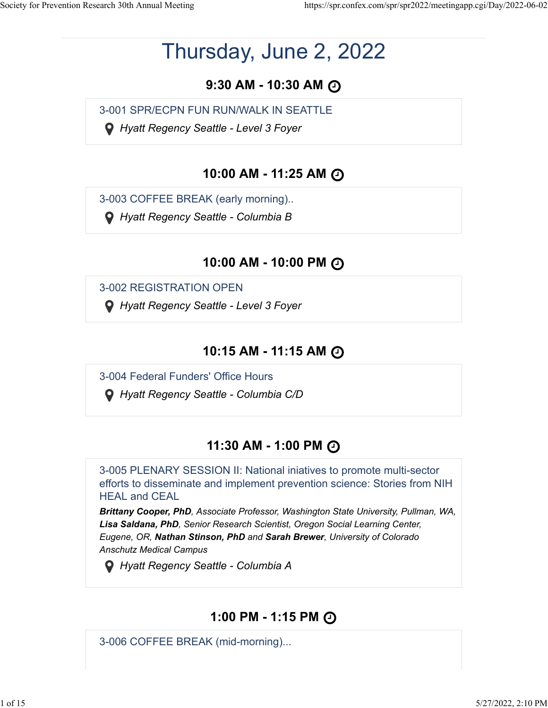# Thursday, June 2, 2022

# **9:30 AM - 10:30 AM**

3-001 SPR/ECPN FUN RUN/WALK IN SEATTLE

 *Hyatt Regency Seattle - Level 3 Foyer*

### **10:00 AM - 11:25 AM**

3-003 COFFEE BREAK (early morning)..

 *Hyatt Regency Seattle - Columbia B*

### **10:00 AM - 10:00 PM**

3-002 REGISTRATION OPEN

 *Hyatt Regency Seattle - Level 3 Foyer*

### **10:15 AM - 11:15 AM**

3-004 Federal Funders' Office Hours

 *Hyatt Regency Seattle - Columbia C/D*

# **11:30 AM - 1:00 PM**

3-005 PLENARY SESSION II: National iniatives to promote multi-sector efforts to disseminate and implement prevention science: Stories from NIH HEAL and CEAL

*Brittany Cooper, PhD, Associate Professor, Washington State University, Pullman, WA, Lisa Saldana, PhD, Senior Research Scientist, Oregon Social Learning Center, Eugene, OR, Nathan Stinson, PhD and Sarah Brewer, University of Colorado Anschutz Medical Campus*

 *Hyatt Regency Seattle - Columbia A*

# **1:00 PM - 1:15 PM**

3-006 COFFEE BREAK (mid-morning)...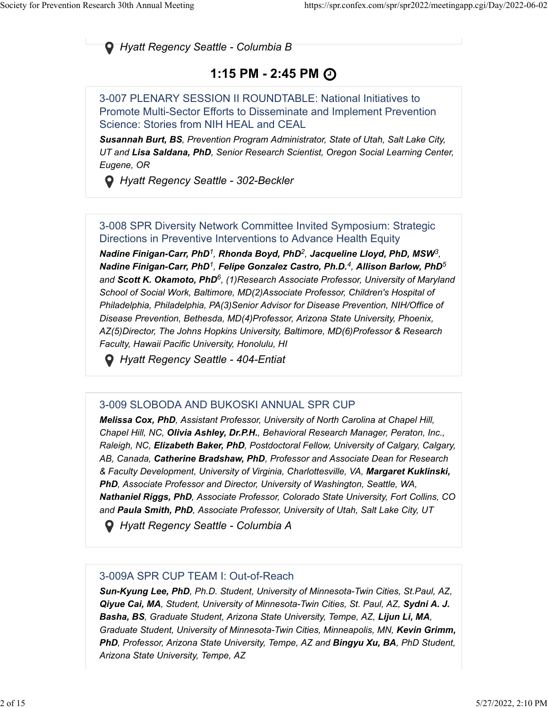*Hyatt Regency Seattle - Columbia B*

# **1:15 PM - 2:45 PM**

3-007 PLENARY SESSION II ROUNDTABLE: National Initiatives to Promote Multi-Sector Efforts to Disseminate and Implement Prevention Science: Stories from NIH HEAL and CEAL

*Susannah Burt, BS, Prevention Program Administrator, State of Utah, Salt Lake City, UT and Lisa Saldana, PhD, Senior Research Scientist, Oregon Social Learning Center, Eugene, OR*

 *Hyatt Regency Seattle - 302-Beckler*

#### 3-008 SPR Diversity Network Committee Invited Symposium: Strategic Directions in Preventive Interventions to Advance Health Equity

*Nadine Finigan-Carr, PhD , Rhonda Boyd, PhD , Jacqueline Lloyd, PhD, MSW , 12 3 Nadine Finigan-Carr, PhD , Felipe Gonzalez Castro, Ph.D. , Allison Barlow, PhD 1 45* and Scott K. Okamoto, PhD<sup>6</sup>, (1)Research Associate Professor, University of Maryland *School of Social Work, Baltimore, MD(2)Associate Professor, Children's Hospital of Philadelphia, Philadelphia, PA(3)Senior Advisor for Disease Prevention, NIH/Office of Disease Prevention, Bethesda, MD(4)Professor, Arizona State University, Phoenix, AZ(5)Director, The Johns Hopkins University, Baltimore, MD(6)Professor & Research Faculty, Hawaii Pacific University, Honolulu, HI*

 *Hyatt Regency Seattle - 404-Entiat*

### 3-009 SLOBODA AND BUKOSKI ANNUAL SPR CUP

*Melissa Cox, PhD, Assistant Professor, University of North Carolina at Chapel Hill, Chapel Hill, NC, Olivia Ashley, Dr.P.H., Behavioral Research Manager, Peraton, Inc., Raleigh, NC, Elizabeth Baker, PhD, Postdoctoral Fellow, University of Calgary, Calgary, AB, Canada, Catherine Bradshaw, PhD, Professor and Associate Dean for Research & Faculty Development, University of Virginia, Charlottesville, VA, Margaret Kuklinski, PhD, Associate Professor and Director, University of Washington, Seattle, WA, Nathaniel Riggs, PhD, Associate Professor, Colorado State University, Fort Collins, CO and Paula Smith, PhD, Associate Professor, University of Utah, Salt Lake City, UT*

 *Hyatt Regency Seattle - Columbia A*

#### 3-009A SPR CUP TEAM I: Out-of-Reach

*Sun-Kyung Lee, PhD, Ph.D. Student, University of Minnesota-Twin Cities, St.Paul, AZ, Qiyue Cai, MA, Student, University of Minnesota-Twin Cities, St. Paul, AZ, Sydni A. J. Basha, BS, Graduate Student, Arizona State University, Tempe, AZ, Lijun Li, MA, Graduate Student, University of Minnesota-Twin Cities, Minneapolis, MN, Kevin Grimm, PhD, Professor, Arizona State University, Tempe, AZ and Bingyu Xu, BA, PhD Student, Arizona State University, Tempe, AZ*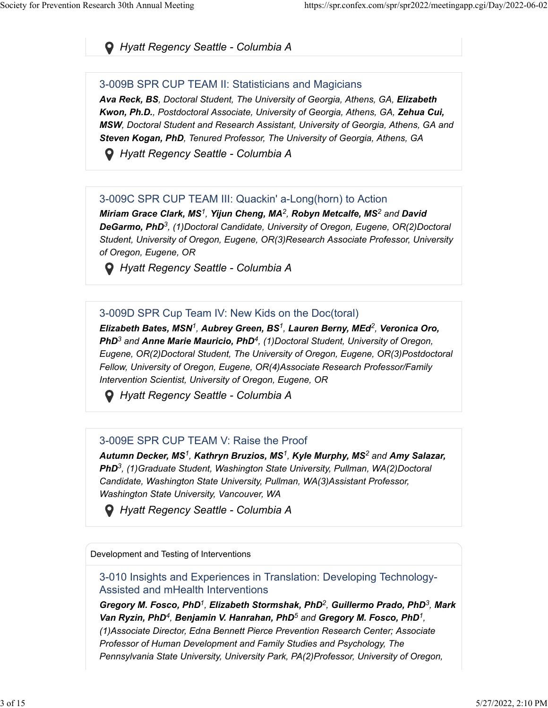### *Hyatt Regency Seattle - Columbia A*

#### 3-009B SPR CUP TEAM II: Statisticians and Magicians

*Ava Reck, BS, Doctoral Student, The University of Georgia, Athens, GA, Elizabeth Kwon, Ph.D., Postdoctoral Associate, University of Georgia, Athens, GA, Zehua Cui, MSW, Doctoral Student and Research Assistant, University of Georgia, Athens, GA and Steven Kogan, PhD, Tenured Professor, The University of Georgia, Athens, GA*

 *Hyatt Regency Seattle - Columbia A*

#### 3-009C SPR CUP TEAM III: Quackin' a-Long(horn) to Action

 $M$ iriam Grace Clark, MS<sup>1</sup>, Yijun Cheng, MA<sup>2</sup>, Robyn Metcalfe, MS<sup>2</sup> and David DeGarmo, PhD<sup>3</sup>, (1)Doctoral Candidate, University of Oregon, Eugene, OR(2)Doctoral *Student, University of Oregon, Eugene, OR(3)Research Associate Professor, University of Oregon, Eugene, OR*

 *Hyatt Regency Seattle - Columbia A*

#### 3-009D SPR Cup Team IV: New Kids on the Doc(toral)

*Elizabeth Bates, MSN , Aubrey Green, BS , Lauren Berny, MEd , Veronica Oro, 11 2* PhD<sup>3</sup> and Anne Marie Mauricio, PhD<sup>4</sup>, (1)Doctoral Student, University of Oregon, *Eugene, OR(2)Doctoral Student, The University of Oregon, Eugene, OR(3)Postdoctoral Fellow, University of Oregon, Eugene, OR(4)Associate Research Professor/Family Intervention Scientist, University of Oregon, Eugene, OR*

 *Hyatt Regency Seattle - Columbia A*

#### 3-009E SPR CUP TEAM V: Raise the Proof

*Autumn Decker, MS , Kathryn Bruzios, MS , Kyle Murphy, MS and Amy Salazar, 1 12* PhD<sup>3</sup>, (1) Graduate Student, Washington State University, Pullman, WA(2) Doctoral *Candidate, Washington State University, Pullman, WA(3)Assistant Professor, Washington State University, Vancouver, WA*

 *Hyatt Regency Seattle - Columbia A*

Development and Testing of Interventions

3-010 Insights and Experiences in Translation: Developing Technology-Assisted and mHealth Interventions

*Gregory M. Fosco, PhD<sup>1</sup>, Elizabeth Stormshak, PhD<sup>2</sup>, Guillermo Prado, PhD<sup>3</sup>, Mark Van Ryzin, PhD<sup>4</sup>, Benjamin V. Hanrahan, PhD<sup>5</sup> and Gregory M. Fosco, PhD<sup>1</sup>,* 

*(1)Associate Director, Edna Bennett Pierce Prevention Research Center; Associate Professor of Human Development and Family Studies and Psychology, The Pennsylvania State University, University Park, PA(2)Professor, University of Oregon,*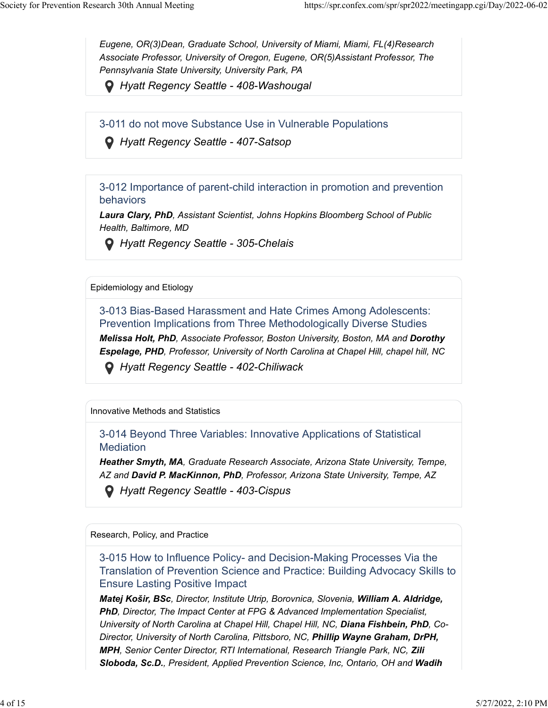*Eugene, OR(3)Dean, Graduate School, University of Miami, Miami, FL(4)Research Associate Professor, University of Oregon, Eugene, OR(5)Assistant Professor, The Pennsylvania State University, University Park, PA*

 *Hyatt Regency Seattle - 408-Washougal*

3-011 do not move Substance Use in Vulnerable Populations

 *Hyatt Regency Seattle - 407-Satsop*

3-012 Importance of parent-child interaction in promotion and prevention behaviors

*Laura Clary, PhD, Assistant Scientist, Johns Hopkins Bloomberg School of Public Health, Baltimore, MD*

 *Hyatt Regency Seattle - 305-Chelais*

Epidemiology and Etiology

3-013 Bias-Based Harassment and Hate Crimes Among Adolescents: Prevention Implications from Three Methodologically Diverse Studies

*Melissa Holt, PhD, Associate Professor, Boston University, Boston, MA and Dorothy Espelage, PHD, Professor, University of North Carolina at Chapel Hill, chapel hill, NC*

 *Hyatt Regency Seattle - 402-Chiliwack*

Innovative Methods and Statistics

3-014 Beyond Three Variables: Innovative Applications of Statistical **Mediation** 

*Heather Smyth, MA, Graduate Research Associate, Arizona State University, Tempe, AZ and David P. MacKinnon, PhD, Professor, Arizona State University, Tempe, AZ*

 *Hyatt Regency Seattle - 403-Cispus*

Research, Policy, and Practice

3-015 How to Influence Policy- and Decision-Making Processes Via the Translation of Prevention Science and Practice: Building Advocacy Skills to Ensure Lasting Positive Impact

*Matej Košir, BSc, Director, Institute Utrip, Borovnica, Slovenia, William A. Aldridge, PhD, Director, The Impact Center at FPG & Advanced Implementation Specialist, University of North Carolina at Chapel Hill, Chapel Hill, NC, Diana Fishbein, PhD, Co-Director, University of North Carolina, Pittsboro, NC, Phillip Wayne Graham, DrPH, MPH, Senior Center Director, RTI International, Research Triangle Park, NC, Zili Sloboda, Sc.D., President, Applied Prevention Science, Inc, Ontario, OH and Wadih*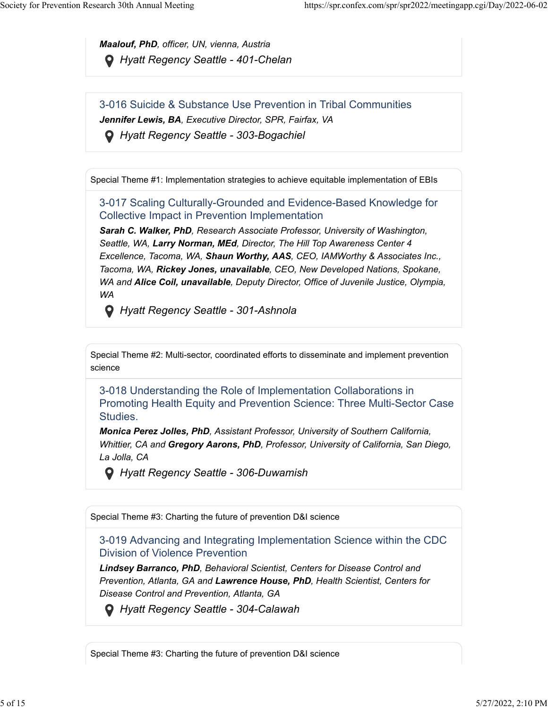*Maalouf, PhD, officer, UN, vienna, Austria Hyatt Regency Seattle - 401-Chelan*

3-016 Suicide & Substance Use Prevention in Tribal Communities *Jennifer Lewis, BA, Executive Director, SPR, Fairfax, VA*

 *Hyatt Regency Seattle - 303-Bogachiel*

Special Theme #1: Implementation strategies to achieve equitable implementation of EBIs

3-017 Scaling Culturally-Grounded and Evidence-Based Knowledge for Collective Impact in Prevention Implementation

*Sarah C. Walker, PhD, Research Associate Professor, University of Washington, Seattle, WA, Larry Norman, MEd, Director, The Hill Top Awareness Center 4 Excellence, Tacoma, WA, Shaun Worthy, AAS, CEO, IAMWorthy & Associates Inc., Tacoma, WA, Rickey Jones, unavailable, CEO, New Developed Nations, Spokane, WA and Alice Coil, unavailable, Deputy Director, Office of Juvenile Justice, Olympia, WA*

 *Hyatt Regency Seattle - 301-Ashnola*

Special Theme #2: Multi-sector, coordinated efforts to disseminate and implement prevention science

3-018 Understanding the Role of Implementation Collaborations in Promoting Health Equity and Prevention Science: Three Multi-Sector Case Studies.

*Monica Perez Jolles, PhD, Assistant Professor, University of Southern California, Whittier, CA and Gregory Aarons, PhD, Professor, University of California, San Diego, La Jolla, CA*

 *Hyatt Regency Seattle - 306-Duwamish*

Special Theme #3: Charting the future of prevention D&I science

3-019 Advancing and Integrating Implementation Science within the CDC Division of Violence Prevention

*Lindsey Barranco, PhD, Behavioral Scientist, Centers for Disease Control and Prevention, Atlanta, GA and Lawrence House, PhD, Health Scientist, Centers for Disease Control and Prevention, Atlanta, GA*

 *Hyatt Regency Seattle - 304-Calawah*

Special Theme #3: Charting the future of prevention D&I science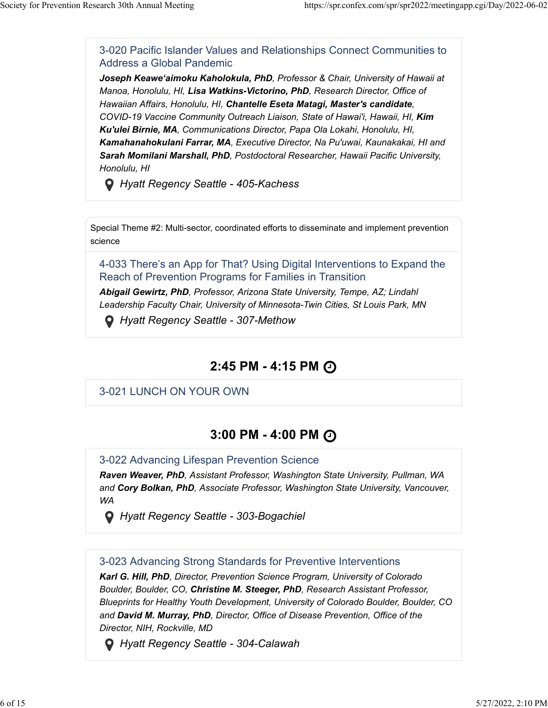3-020 Pacific Islander Values and Relationships Connect Communities to Address a Global Pandemic

*Joseph Keawe'aimoku Kaholokula, PhD, Professor & Chair, University of Hawaii at Manoa, Honolulu, HI, Lisa Watkins-Victorino, PhD, Research Director, Office of Hawaiian Affairs, Honolulu, HI, Chantelle Eseta Matagi, Master's candidate, COVID-19 Vaccine Community Outreach Liaison, State of Hawai'i, Hawaii, HI, Kim Ku'ulei Birnie, MA, Communications Director, Papa Ola Lokahi, Honolulu, HI, Kamahanahokulani Farrar, MA, Executive Director, Na Pu'uwai, Kaunakakai, HI and Sarah Momilani Marshall, PhD, Postdoctoral Researcher, Hawaii Pacific University, Honolulu, HI*

 *Hyatt Regency Seattle - 405-Kachess*

Special Theme #2: Multi-sector, coordinated efforts to disseminate and implement prevention science

4-033 There's an App for That? Using Digital Interventions to Expand the Reach of Prevention Programs for Families in Transition

*Abigail Gewirtz, PhD, Professor, Arizona State University, Tempe, AZ; Lindahl Leadership Faculty Chair, University of Minnesota-Twin Cities, St Louis Park, MN*

 *Hyatt Regency Seattle - 307-Methow*

### **2:45 PM - 4:15 PM**

3-021 LUNCH ON YOUR OWN

### **3:00 PM - 4:00 PM**

3-022 Advancing Lifespan Prevention Science

*Raven Weaver, PhD, Assistant Professor, Washington State University, Pullman, WA and Cory Bolkan, PhD, Associate Professor, Washington State University, Vancouver, WA*

 *Hyatt Regency Seattle - 303-Bogachiel*

3-023 Advancing Strong Standards for Preventive Interventions

*Karl G. Hill, PhD, Director, Prevention Science Program, University of Colorado Boulder, Boulder, CO, Christine M. Steeger, PhD, Research Assistant Professor, Blueprints for Healthy Youth Development, University of Colorado Boulder, Boulder, CO and David M. Murray, PhD, Director, Office of Disease Prevention, Office of the Director, NIH, Rockville, MD*

 *Hyatt Regency Seattle - 304-Calawah*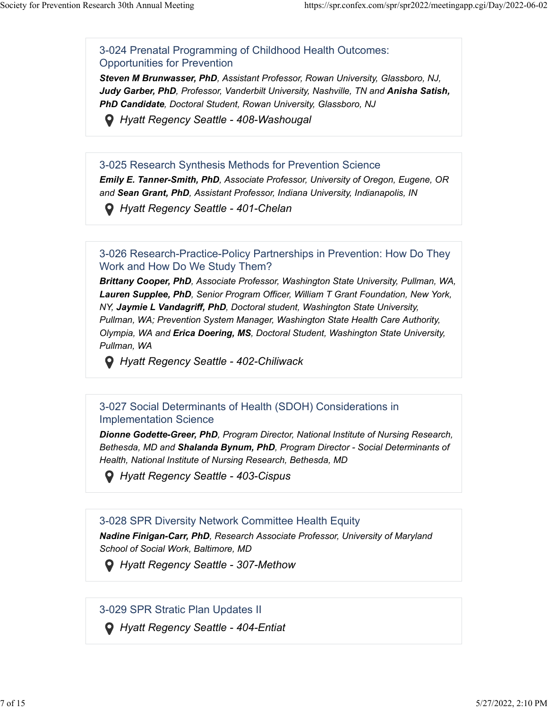3-024 Prenatal Programming of Childhood Health Outcomes: Opportunities for Prevention

*Steven M Brunwasser, PhD, Assistant Professor, Rowan University, Glassboro, NJ, Judy Garber, PhD, Professor, Vanderbilt University, Nashville, TN and Anisha Satish, PhD Candidate, Doctoral Student, Rowan University, Glassboro, NJ*

 *Hyatt Regency Seattle - 408-Washougal*

#### 3-025 Research Synthesis Methods for Prevention Science

*Emily E. Tanner-Smith, PhD, Associate Professor, University of Oregon, Eugene, OR and Sean Grant, PhD, Assistant Professor, Indiana University, Indianapolis, IN*

 *Hyatt Regency Seattle - 401-Chelan*

#### 3-026 Research-Practice-Policy Partnerships in Prevention: How Do They Work and How Do We Study Them?

*Brittany Cooper, PhD, Associate Professor, Washington State University, Pullman, WA, Lauren Supplee, PhD, Senior Program Officer, William T Grant Foundation, New York, NY, Jaymie L Vandagriff, PhD, Doctoral student, Washington State University, Pullman, WA; Prevention System Manager, Washington State Health Care Authority, Olympia, WA and Erica Doering, MS, Doctoral Student, Washington State University, Pullman, WA*

 *Hyatt Regency Seattle - 402-Chiliwack*

#### 3-027 Social Determinants of Health (SDOH) Considerations in Implementation Science

*Dionne Godette-Greer, PhD, Program Director, National Institute of Nursing Research, Bethesda, MD and Shalanda Bynum, PhD, Program Director - Social Determinants of Health, National Institute of Nursing Research, Bethesda, MD*

 *Hyatt Regency Seattle - 403-Cispus*

#### 3-028 SPR Diversity Network Committee Health Equity

*Nadine Finigan-Carr, PhD, Research Associate Professor, University of Maryland School of Social Work, Baltimore, MD*

 *Hyatt Regency Seattle - 307-Methow*

3-029 SPR Stratic Plan Updates II

 *Hyatt Regency Seattle - 404-Entiat*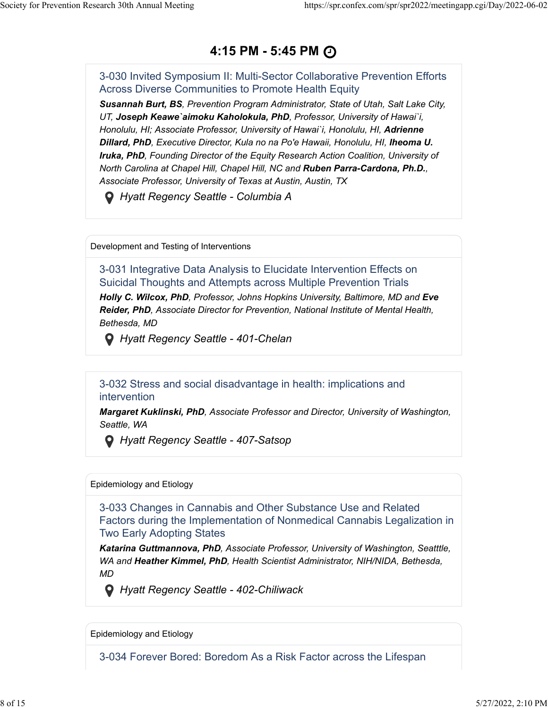### **4:15 PM - 5:45 PM**

3-030 Invited Symposium II: Multi-Sector Collaborative Prevention Efforts Across Diverse Communities to Promote Health Equity

*Susannah Burt, BS, Prevention Program Administrator, State of Utah, Salt Lake City, UT, Joseph Keawe`aimoku Kaholokula, PhD, Professor, University of Hawai`i, Honolulu, HI; Associate Professor, University of Hawai`i, Honolulu, HI, Adrienne Dillard, PhD, Executive Director, Kula no na Po'e Hawaii, Honolulu, HI, Iheoma U. Iruka, PhD, Founding Director of the Equity Research Action Coalition, University of North Carolina at Chapel Hill, Chapel Hill, NC and Ruben Parra-Cardona, Ph.D., Associate Professor, University of Texas at Austin, Austin, TX*

 *Hyatt Regency Seattle - Columbia A*

Development and Testing of Interventions

3-031 Integrative Data Analysis to Elucidate Intervention Effects on Suicidal Thoughts and Attempts across Multiple Prevention Trials *Holly C. Wilcox, PhD, Professor, Johns Hopkins University, Baltimore, MD and Eve Reider, PhD, Associate Director for Prevention, National Institute of Mental Health, Bethesda, MD*

 *Hyatt Regency Seattle - 401-Chelan*

3-032 Stress and social disadvantage in health: implications and intervention

*Margaret Kuklinski, PhD, Associate Professor and Director, University of Washington, Seattle, WA*

 *Hyatt Regency Seattle - 407-Satsop*

#### Epidemiology and Etiology

3-033 Changes in Cannabis and Other Substance Use and Related Factors during the Implementation of Nonmedical Cannabis Legalization in Two Early Adopting States

*Katarina Guttmannova, PhD, Associate Professor, University of Washington, Seatttle, WA and Heather Kimmel, PhD, Health Scientist Administrator, NIH/NIDA, Bethesda, MD*

 *Hyatt Regency Seattle - 402-Chiliwack*

Epidemiology and Etiology

3-034 Forever Bored: Boredom As a Risk Factor across the Lifespan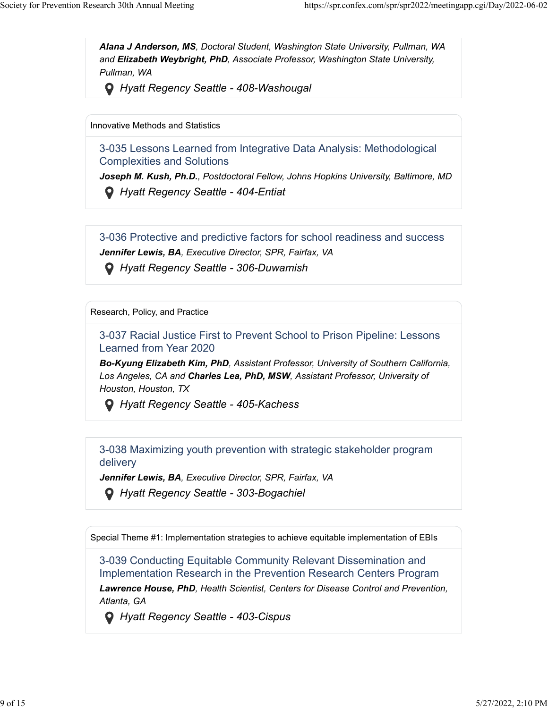*Alana J Anderson, MS, Doctoral Student, Washington State University, Pullman, WA and Elizabeth Weybright, PhD, Associate Professor, Washington State University, Pullman, WA*

 *Hyatt Regency Seattle - 408-Washougal*

Innovative Methods and Statistics

3-035 Lessons Learned from Integrative Data Analysis: Methodological Complexities and Solutions

*Joseph M. Kush, Ph.D., Postdoctoral Fellow, Johns Hopkins University, Baltimore, MD Hyatt Regency Seattle - 404-Entiat*

3-036 Protective and predictive factors for school readiness and success *Jennifer Lewis, BA, Executive Director, SPR, Fairfax, VA*

 *Hyatt Regency Seattle - 306-Duwamish*

Research, Policy, and Practice

3-037 Racial Justice First to Prevent School to Prison Pipeline: Lessons Learned from Year 2020

*Bo-Kyung Elizabeth Kim, PhD, Assistant Professor, University of Southern California, Los Angeles, CA and Charles Lea, PhD, MSW, Assistant Professor, University of Houston, Houston, TX*

 *Hyatt Regency Seattle - 405-Kachess*

3-038 Maximizing youth prevention with strategic stakeholder program delivery

*Jennifer Lewis, BA, Executive Director, SPR, Fairfax, VA*

 *Hyatt Regency Seattle - 303-Bogachiel*

Special Theme #1: Implementation strategies to achieve equitable implementation of EBIs

3-039 Conducting Equitable Community Relevant Dissemination and Implementation Research in the Prevention Research Centers Program *Lawrence House, PhD, Health Scientist, Centers for Disease Control and Prevention, Atlanta, GA*

 *Hyatt Regency Seattle - 403-Cispus*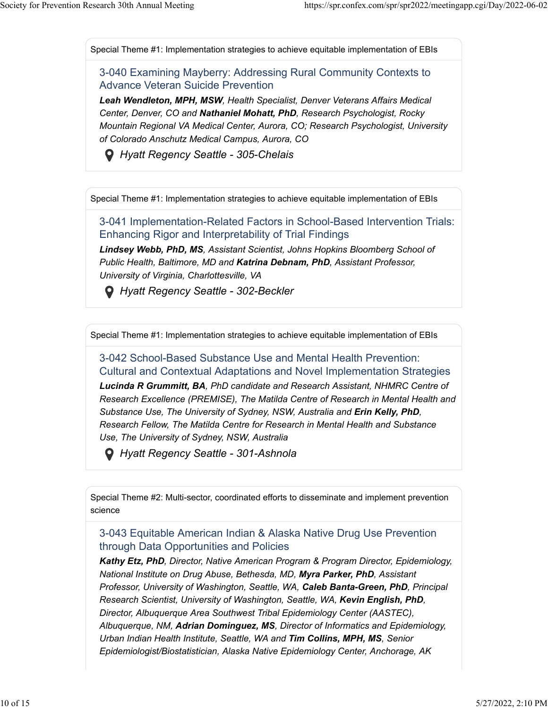Special Theme #1: Implementation strategies to achieve equitable implementation of EBIs

3-040 Examining Mayberry: Addressing Rural Community Contexts to Advance Veteran Suicide Prevention

*Leah Wendleton, MPH, MSW, Health Specialist, Denver Veterans Affairs Medical Center, Denver, CO and Nathaniel Mohatt, PhD, Research Psychologist, Rocky Mountain Regional VA Medical Center, Aurora, CO; Research Psychologist, University of Colorado Anschutz Medical Campus, Aurora, CO*

 *Hyatt Regency Seattle - 305-Chelais*

Special Theme #1: Implementation strategies to achieve equitable implementation of EBIs

3-041 Implementation-Related Factors in School-Based Intervention Trials: Enhancing Rigor and Interpretability of Trial Findings

*Lindsey Webb, PhD, MS, Assistant Scientist, Johns Hopkins Bloomberg School of Public Health, Baltimore, MD and Katrina Debnam, PhD, Assistant Professor, University of Virginia, Charlottesville, VA*

 *Hyatt Regency Seattle - 302-Beckler*

Special Theme #1: Implementation strategies to achieve equitable implementation of EBIs

3-042 School-Based Substance Use and Mental Health Prevention: Cultural and Contextual Adaptations and Novel Implementation Strategies *Lucinda R Grummitt, BA, PhD candidate and Research Assistant, NHMRC Centre of Research Excellence (PREMISE), The Matilda Centre of Research in Mental Health and Substance Use, The University of Sydney, NSW, Australia and Erin Kelly, PhD, Research Fellow, The Matilda Centre for Research in Mental Health and Substance*

*Use, The University of Sydney, NSW, Australia*

 *Hyatt Regency Seattle - 301-Ashnola*

Special Theme #2: Multi-sector, coordinated efforts to disseminate and implement prevention science

#### 3-043 Equitable American Indian & Alaska Native Drug Use Prevention through Data Opportunities and Policies

*Kathy Etz, PhD, Director, Native American Program & Program Director, Epidemiology, National Institute on Drug Abuse, Bethesda, MD, Myra Parker, PhD, Assistant Professor, University of Washington, Seattle, WA, Caleb Banta-Green, PhD, Principal Research Scientist, University of Washington, Seattle, WA, Kevin English, PhD, Director, Albuquerque Area Southwest Tribal Epidemiology Center (AASTEC), Albuquerque, NM, Adrian Dominguez, MS, Director of Informatics and Epidemiology, Urban Indian Health Institute, Seattle, WA and Tim Collins, MPH, MS, Senior Epidemiologist/Biostatistician, Alaska Native Epidemiology Center, Anchorage, AK*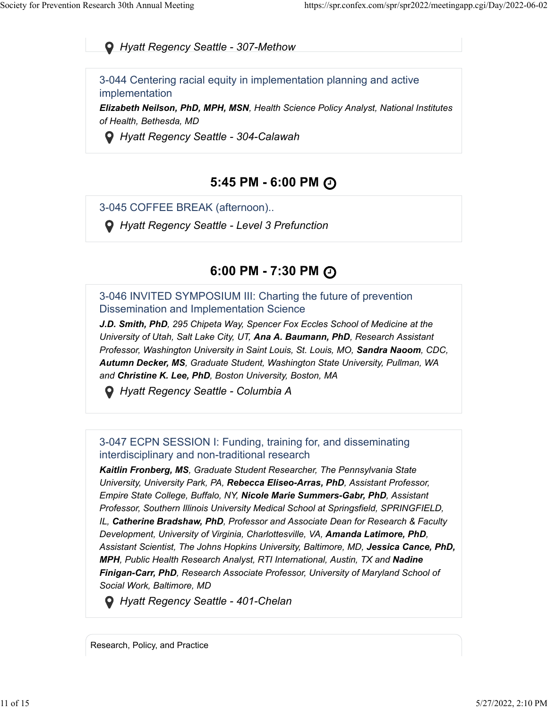*Hyatt Regency Seattle - 307-Methow*

3-044 Centering racial equity in implementation planning and active implementation

*Elizabeth Neilson, PhD, MPH, MSN, Health Science Policy Analyst, National Institutes of Health, Bethesda, MD*

 *Hyatt Regency Seattle - 304-Calawah*

### **5:45 PM - 6:00 PM**

3-045 COFFEE BREAK (afternoon)..

 *Hyatt Regency Seattle - Level 3 Prefunction*

### **6:00 PM - 7:30 PM**

3-046 INVITED SYMPOSIUM III: Charting the future of prevention Dissemination and Implementation Science

*J.D. Smith, PhD, 295 Chipeta Way, Spencer Fox Eccles School of Medicine at the University of Utah, Salt Lake City, UT, Ana A. Baumann, PhD, Research Assistant Professor, Washington University in Saint Louis, St. Louis, MO, Sandra Naoom, CDC, Autumn Decker, MS, Graduate Student, Washington State University, Pullman, WA and Christine K. Lee, PhD, Boston University, Boston, MA*

 *Hyatt Regency Seattle - Columbia A*

3-047 ECPN SESSION I: Funding, training for, and disseminating interdisciplinary and non-traditional research

*Kaitlin Fronberg, MS, Graduate Student Researcher, The Pennsylvania State University, University Park, PA, Rebecca Eliseo-Arras, PhD, Assistant Professor, Empire State College, Buffalo, NY, Nicole Marie Summers-Gabr, PhD, Assistant Professor, Southern Illinois University Medical School at Springsfield, SPRINGFIELD, IL, Catherine Bradshaw, PhD, Professor and Associate Dean for Research & Faculty Development, University of Virginia, Charlottesville, VA, Amanda Latimore, PhD, Assistant Scientist, The Johns Hopkins University, Baltimore, MD, Jessica Cance, PhD, MPH, Public Health Research Analyst, RTI International, Austin, TX and Nadine Finigan-Carr, PhD, Research Associate Professor, University of Maryland School of Social Work, Baltimore, MD*

 *Hyatt Regency Seattle - 401-Chelan*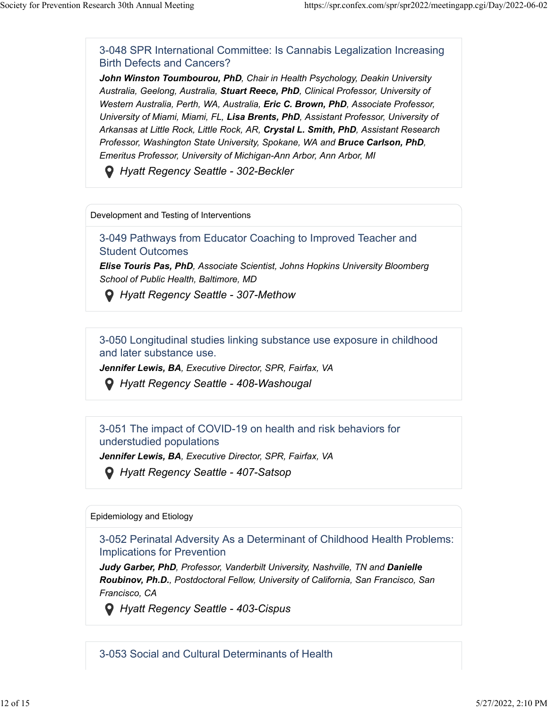3-048 SPR International Committee: Is Cannabis Legalization Increasing Birth Defects and Cancers?

*John Winston Toumbourou, PhD, Chair in Health Psychology, Deakin University Australia, Geelong, Australia, Stuart Reece, PhD, Clinical Professor, University of Western Australia, Perth, WA, Australia, Eric C. Brown, PhD, Associate Professor, University of Miami, Miami, FL, Lisa Brents, PhD, Assistant Professor, University of Arkansas at Little Rock, Little Rock, AR, Crystal L. Smith, PhD, Assistant Research Professor, Washington State University, Spokane, WA and Bruce Carlson, PhD, Emeritus Professor, University of Michigan-Ann Arbor, Ann Arbor, MI*

 *Hyatt Regency Seattle - 302-Beckler*

Development and Testing of Interventions

3-049 Pathways from Educator Coaching to Improved Teacher and Student Outcomes

*Elise Touris Pas, PhD, Associate Scientist, Johns Hopkins University Bloomberg School of Public Health, Baltimore, MD*

 *Hyatt Regency Seattle - 307-Methow*

3-050 Longitudinal studies linking substance use exposure in childhood and later substance use.

*Jennifer Lewis, BA, Executive Director, SPR, Fairfax, VA*

 *Hyatt Regency Seattle - 408-Washougal*

3-051 The impact of COVID-19 on health and risk behaviors for understudied populations

*Jennifer Lewis, BA, Executive Director, SPR, Fairfax, VA*

 *Hyatt Regency Seattle - 407-Satsop*

Epidemiology and Etiology

3-052 Perinatal Adversity As a Determinant of Childhood Health Problems: Implications for Prevention

*Judy Garber, PhD, Professor, Vanderbilt University, Nashville, TN and Danielle Roubinov, Ph.D., Postdoctoral Fellow, University of California, San Francisco, San Francisco, CA*

 *Hyatt Regency Seattle - 403-Cispus*

3-053 Social and Cultural Determinants of Health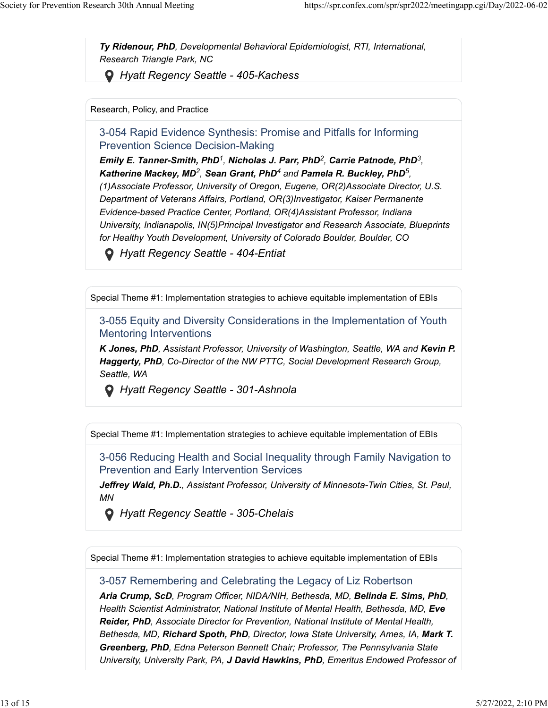*Ty Ridenour, PhD, Developmental Behavioral Epidemiologist, RTI, International, Research Triangle Park, NC*

 *Hyatt Regency Seattle - 405-Kachess*

Research, Policy, and Practice

3-054 Rapid Evidence Synthesis: Promise and Pitfalls for Informing Prevention Science Decision-Making

*Emily E. Tanner-Smith, PhD<sup>1</sup>, Nicholas J. Parr, PhD<sup>2</sup>, Carrie Patnode, PhD<sup>3</sup>, Katherine Mackey, MD<sup>2</sup>, Sean Grant, PhD<sup>4</sup> and Pamela R. Buckley, PhD<sup>5</sup>, (1)Associate Professor, University of Oregon, Eugene, OR(2)Associate Director, U.S. Department of Veterans Affairs, Portland, OR(3)Investigator, Kaiser Permanente Evidence-based Practice Center, Portland, OR(4)Assistant Professor, Indiana University, Indianapolis, IN(5)Principal Investigator and Research Associate, Blueprints for Healthy Youth Development, University of Colorado Boulder, Boulder, CO*

 *Hyatt Regency Seattle - 404-Entiat*

Special Theme #1: Implementation strategies to achieve equitable implementation of EBIs

3-055 Equity and Diversity Considerations in the Implementation of Youth Mentoring Interventions

*K* Jones, PhD, Assistant Professor, University of Washington, Seattle, WA and Kevin P. *Haggerty, PhD, Co-Director of the NW PTTC, Social Development Research Group, Seattle, WA*

 *Hyatt Regency Seattle - 301-Ashnola*

Special Theme #1: Implementation strategies to achieve equitable implementation of EBIs

3-056 Reducing Health and Social Inequality through Family Navigation to Prevention and Early Intervention Services

*Jeffrey Waid, Ph.D., Assistant Professor, University of Minnesota-Twin Cities, St. Paul, MN*

 *Hyatt Regency Seattle - 305-Chelais*

Special Theme #1: Implementation strategies to achieve equitable implementation of EBIs

3-057 Remembering and Celebrating the Legacy of Liz Robertson

*Aria Crump, ScD, Program Officer, NIDA/NIH, Bethesda, MD, Belinda E. Sims, PhD, Health Scientist Administrator, National Institute of Mental Health, Bethesda, MD, Eve Reider, PhD, Associate Director for Prevention, National Institute of Mental Health, Bethesda, MD, Richard Spoth, PhD, Director, Iowa State University, Ames, IA, Mark T. Greenberg, PhD, Edna Peterson Bennett Chair; Professor, The Pennsylvania State University, University Park, PA, J David Hawkins, PhD, Emeritus Endowed Professor of*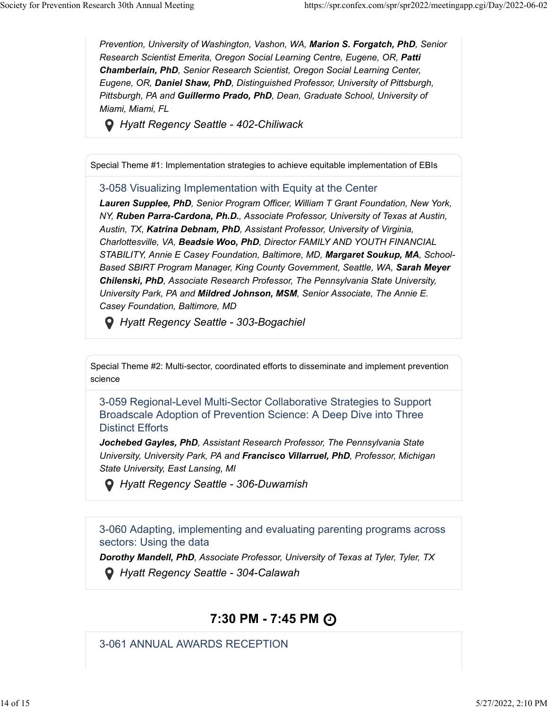*Prevention, University of Washington, Vashon, WA, Marion S. Forgatch, PhD, Senior Research Scientist Emerita, Oregon Social Learning Centre, Eugene, OR, Patti Chamberlain, PhD, Senior Research Scientist, Oregon Social Learning Center, Eugene, OR, Daniel Shaw, PhD, Distinguished Professor, University of Pittsburgh, Pittsburgh, PA and Guillermo Prado, PhD, Dean, Graduate School, University of Miami, Miami, FL*

 *Hyatt Regency Seattle - 402-Chiliwack*

Special Theme #1: Implementation strategies to achieve equitable implementation of EBIs

#### 3-058 Visualizing Implementation with Equity at the Center

*Lauren Supplee, PhD, Senior Program Officer, William T Grant Foundation, New York, NY, Ruben Parra-Cardona, Ph.D., Associate Professor, University of Texas at Austin, Austin, TX, Katrina Debnam, PhD, Assistant Professor, University of Virginia, Charlottesville, VA, Beadsie Woo, PhD, Director FAMILY AND YOUTH FINANCIAL STABILITY, Annie E Casey Foundation, Baltimore, MD, Margaret Soukup, MA, School-Based SBIRT Program Manager, King County Government, Seattle, WA, Sarah Meyer Chilenski, PhD, Associate Research Professor, The Pennsylvania State University, University Park, PA and Mildred Johnson, MSM, Senior Associate, The Annie E. Casey Foundation, Baltimore, MD*

 *Hyatt Regency Seattle - 303-Bogachiel*

Special Theme #2: Multi-sector, coordinated efforts to disseminate and implement prevention science

3-059 Regional-Level Multi-Sector Collaborative Strategies to Support Broadscale Adoption of Prevention Science: A Deep Dive into Three Distinct Efforts

*Jochebed Gayles, PhD, Assistant Research Professor, The Pennsylvania State University, University Park, PA and Francisco Villarruel, PhD, Professor, Michigan State University, East Lansing, MI*

 *Hyatt Regency Seattle - 306-Duwamish*

3-060 Adapting, implementing and evaluating parenting programs across sectors: Using the data

*Dorothy Mandell, PhD, Associate Professor, University of Texas at Tyler, Tyler, TX*

 *Hyatt Regency Seattle - 304-Calawah*

### **7:30 PM - 7:45 PM**

3-061 ANNUAL AWARDS RECEPTION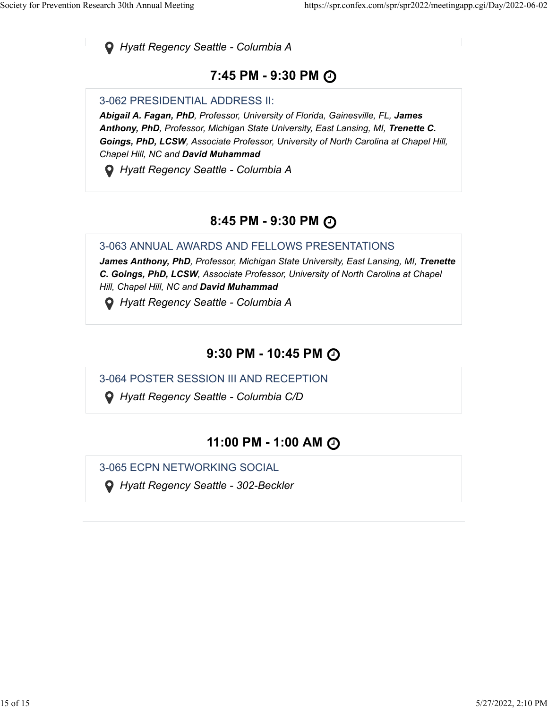*Hyatt Regency Seattle - Columbia A*

### **7:45 PM - 9:30 PM**

#### 3-062 PRESIDENTIAL ADDRESS II:

*Abigail A. Fagan, PhD, Professor, University of Florida, Gainesville, FL, James Anthony, PhD, Professor, Michigan State University, East Lansing, MI, Trenette C. Goings, PhD, LCSW, Associate Professor, University of North Carolina at Chapel Hill, Chapel Hill, NC and David Muhammad*

 *Hyatt Regency Seattle - Columbia A*

# **8:45 PM - 9:30 PM**

3-063 ANNUAL AWARDS AND FELLOWS PRESENTATIONS

*James Anthony, PhD, Professor, Michigan State University, East Lansing, MI, Trenette C. Goings, PhD, LCSW, Associate Professor, University of North Carolina at Chapel Hill, Chapel Hill, NC and David Muhammad*

 *Hyatt Regency Seattle - Columbia A*

# **9:30 PM - 10:45 PM**

3-064 POSTER SESSION III AND RECEPTION

 *Hyatt Regency Seattle - Columbia C/D*

### **11:00 PM - 1:00 AM**

3-065 ECPN NETWORKING SOCIAL

 *Hyatt Regency Seattle - 302-Beckler*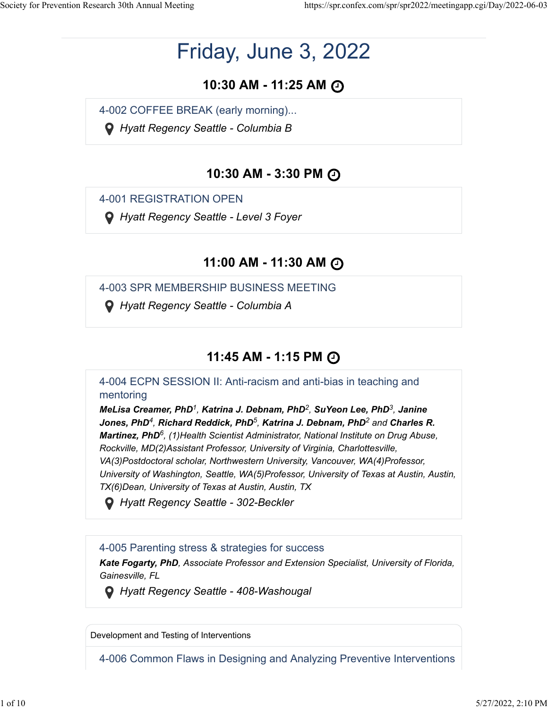# Friday, June 3, 2022

# **10:30 AM - 11:25 AM**

4-002 COFFEE BREAK (early morning)...

 *Hyatt Regency Seattle - Columbia B*

# **10:30 AM - 3:30 PM**

4-001 REGISTRATION OPEN

 *Hyatt Regency Seattle - Level 3 Foyer*

# **11:00 AM - 11:30 AM**

4-003 SPR MEMBERSHIP BUSINESS MEETING

 *Hyatt Regency Seattle - Columbia A*

# **11:45 AM - 1:15 PM**

4-004 ECPN SESSION II: Anti-racism and anti-bias in teaching and mentoring

*MeLisa Creamer, PhD<sup>1</sup>, Katrina J. Debnam, PhD<sup>2</sup>, SuYeon Lee, PhD<sup>3</sup>, Janine*  $Jones, PhD<sup>4</sup>, Richard Reddick, PhD<sup>5</sup>, Katrina J. Debnam, PhD<sup>2</sup> and Charles R.$ Martinez, PhD<sup>6</sup>, (1)Health Scientist Administrator, National Institute on Drug Abuse, *Rockville, MD(2)Assistant Professor, University of Virginia, Charlottesville, VA(3)Postdoctoral scholar, Northwestern University, Vancouver, WA(4)Professor, University of Washington, Seattle, WA(5)Professor, University of Texas at Austin, Austin, TX(6)Dean, University of Texas at Austin, Austin, TX*

 *Hyatt Regency Seattle - 302-Beckler*

### 4-005 Parenting stress & strategies for success

*Kate Fogarty, PhD, Associate Professor and Extension Specialist, University of Florida, Gainesville, FL*

 *Hyatt Regency Seattle - 408-Washougal*

Development and Testing of Interventions

4-006 Common Flaws in Designing and Analyzing Preventive Interventions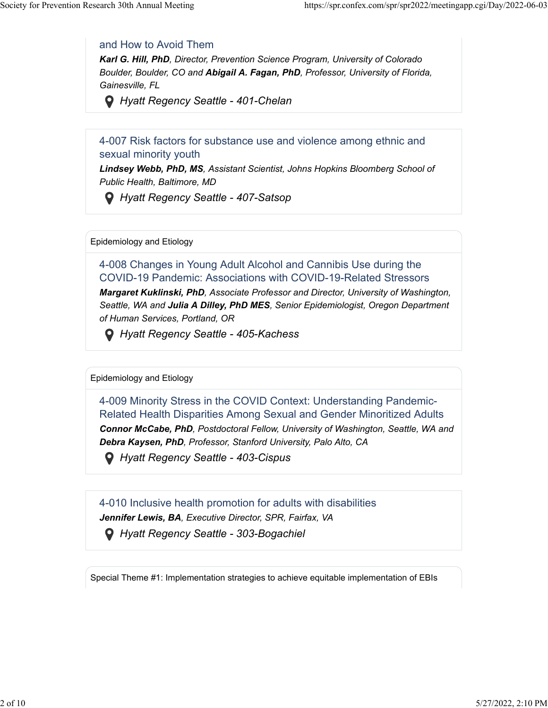#### and How to Avoid Them

*Karl G. Hill, PhD, Director, Prevention Science Program, University of Colorado Boulder, Boulder, CO and Abigail A. Fagan, PhD, Professor, University of Florida, Gainesville, FL*

 *Hyatt Regency Seattle - 401-Chelan*

4-007 Risk factors for substance use and violence among ethnic and sexual minority youth

*Lindsey Webb, PhD, MS, Assistant Scientist, Johns Hopkins Bloomberg School of Public Health, Baltimore, MD*

 *Hyatt Regency Seattle - 407-Satsop*

Epidemiology and Etiology

4-008 Changes in Young Adult Alcohol and Cannibis Use during the COVID-19 Pandemic: Associations with COVID-19-Related Stressors

*Margaret Kuklinski, PhD, Associate Professor and Director, University of Washington, Seattle, WA and Julia A Dilley, PhD MES, Senior Epidemiologist, Oregon Department of Human Services, Portland, OR*

 *Hyatt Regency Seattle - 405-Kachess*

Epidemiology and Etiology

4-009 Minority Stress in the COVID Context: Understanding Pandemic-Related Health Disparities Among Sexual and Gender Minoritized Adults

*Connor McCabe, PhD, Postdoctoral Fellow, University of Washington, Seattle, WA and Debra Kaysen, PhD, Professor, Stanford University, Palo Alto, CA*

 *Hyatt Regency Seattle - 403-Cispus*

4-010 Inclusive health promotion for adults with disabilities *Jennifer Lewis, BA, Executive Director, SPR, Fairfax, VA Hyatt Regency Seattle - 303-Bogachiel*

Special Theme #1: Implementation strategies to achieve equitable implementation of EBIs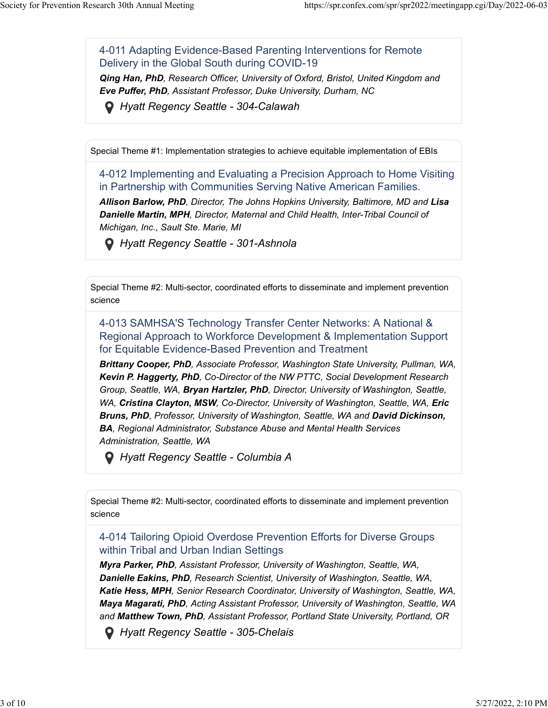4-011 Adapting Evidence-Based Parenting Interventions for Remote Delivery in the Global South during COVID-19

*Qing Han, PhD, Research Officer, University of Oxford, Bristol, United Kingdom and Eve Puffer, PhD, Assistant Professor, Duke University, Durham, NC*

 *Hyatt Regency Seattle - 304-Calawah*

Special Theme #1: Implementation strategies to achieve equitable implementation of EBIs

4-012 Implementing and Evaluating a Precision Approach to Home Visiting in Partnership with Communities Serving Native American Families.

*Allison Barlow, PhD, Director, The Johns Hopkins University, Baltimore, MD and Lisa Danielle Martin, MPH, Director, Maternal and Child Health, Inter-Tribal Council of Michigan, Inc., Sault Ste. Marie, MI*

 *Hyatt Regency Seattle - 301-Ashnola*

Special Theme #2: Multi-sector, coordinated efforts to disseminate and implement prevention science

4-013 SAMHSA'S Technology Transfer Center Networks: A National & Regional Approach to Workforce Development & Implementation Support for Equitable Evidence-Based Prevention and Treatment

*Brittany Cooper, PhD, Associate Professor, Washington State University, Pullman, WA, Kevin P. Haggerty, PhD, Co-Director of the NW PTTC, Social Development Research Group, Seattle, WA, Bryan Hartzler, PhD, Director, University of Washington, Seattle, WA, Cristina Clayton, MSW, Co-Director, University of Washington, Seattle, WA, Eric Bruns, PhD, Professor, University of Washington, Seattle, WA and David Dickinson, BA, Regional Administrator, Substance Abuse and Mental Health Services Administration, Seattle, WA*

 *Hyatt Regency Seattle - Columbia A*

Special Theme #2: Multi-sector, coordinated efforts to disseminate and implement prevention science

4-014 Tailoring Opioid Overdose Prevention Efforts for Diverse Groups within Tribal and Urban Indian Settings

*Myra Parker, PhD, Assistant Professor, University of Washington, Seattle, WA, Danielle Eakins, PhD, Research Scientist, University of Washington, Seattle, WA, Katie Hess, MPH, Senior Research Coordinator, University of Washington, Seattle, WA, Maya Magarati, PhD, Acting Assistant Professor, University of Washington, Seattle, WA and Matthew Town, PhD, Assistant Professor, Portland State University, Portland, OR*

 *Hyatt Regency Seattle - 305-Chelais*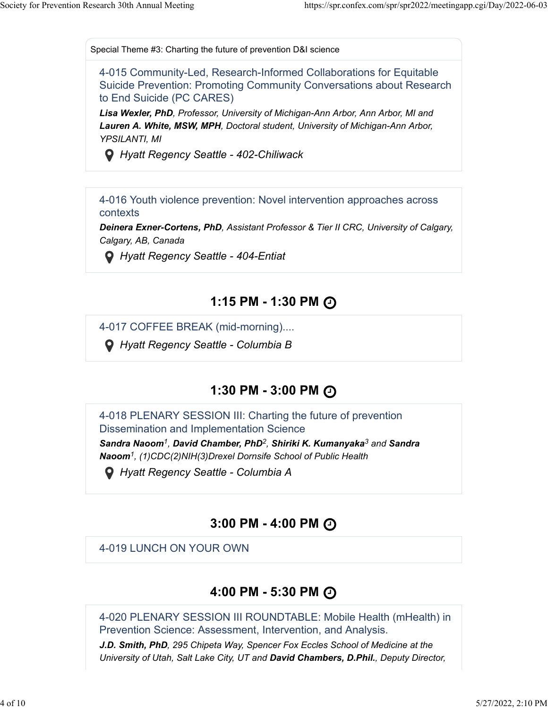Special Theme #3: Charting the future of prevention D&I science

4-015 Community-Led, Research-Informed Collaborations for Equitable Suicide Prevention: Promoting Community Conversations about Research to End Suicide (PC CARES)

*Lisa Wexler, PhD, Professor, University of Michigan-Ann Arbor, Ann Arbor, MI and Lauren A. White, MSW, MPH, Doctoral student, University of Michigan-Ann Arbor, YPSILANTI, MI*

 *Hyatt Regency Seattle - 402-Chiliwack*

4-016 Youth violence prevention: Novel intervention approaches across contexts

*Deinera Exner-Cortens, PhD, Assistant Professor & Tier II CRC, University of Calgary, Calgary, AB, Canada*

 *Hyatt Regency Seattle - 404-Entiat*

### **1:15 PM - 1:30 PM**

4-017 COFFEE BREAK (mid-morning)....

 *Hyatt Regency Seattle - Columbia B*

### **1:30 PM - 3:00 PM**

4-018 PLENARY SESSION III: Charting the future of prevention Dissemination and Implementation Science

*Sandra Naoom<sup>1</sup>, David Chamber, PhD<sup>2</sup>, Shiriki K. Kumanyaka<sup>3</sup> and Sandra Naoom , (1)CDC(2)NIH(3)Drexel Dornsife School of Public Health 1*

 *Hyatt Regency Seattle - Columbia A*

### **3:00 PM - 4:00 PM**

4-019 LUNCH ON YOUR OWN

### **4:00 PM - 5:30 PM**

4-020 PLENARY SESSION III ROUNDTABLE: Mobile Health (mHealth) in Prevention Science: Assessment, Intervention, and Analysis.

*J.D. Smith, PhD, 295 Chipeta Way, Spencer Fox Eccles School of Medicine at the University of Utah, Salt Lake City, UT and David Chambers, D.Phil., Deputy Director,*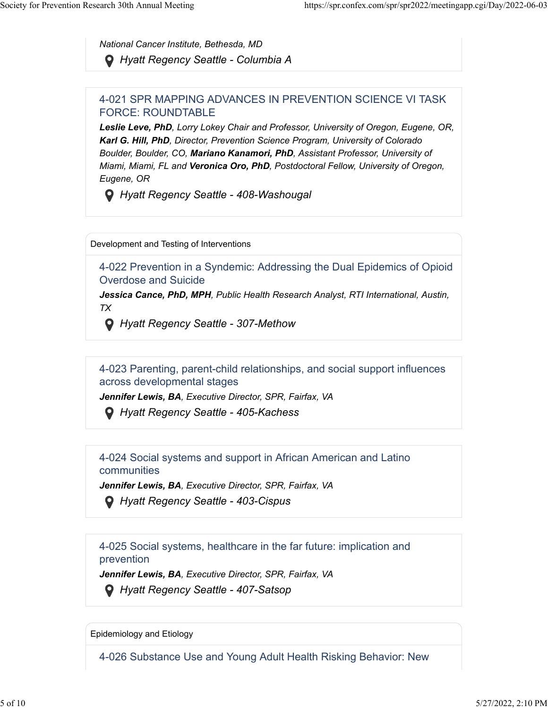*National Cancer Institute, Bethesda, MD Hyatt Regency Seattle - Columbia A*

#### 4-021 SPR MAPPING ADVANCES IN PREVENTION SCIENCE VI TASK FORCE: ROUNDTABLE

*Leslie Leve, PhD, Lorry Lokey Chair and Professor, University of Oregon, Eugene, OR, Karl G. Hill, PhD, Director, Prevention Science Program, University of Colorado Boulder, Boulder, CO, Mariano Kanamori, PhD, Assistant Professor, University of Miami, Miami, FL and Veronica Oro, PhD, Postdoctoral Fellow, University of Oregon, Eugene, OR*

 *Hyatt Regency Seattle - 408-Washougal*

Development and Testing of Interventions

4-022 Prevention in a Syndemic: Addressing the Dual Epidemics of Opioid Overdose and Suicide

*Jessica Cance, PhD, MPH, Public Health Research Analyst, RTI International, Austin, TX*

 *Hyatt Regency Seattle - 307-Methow*

4-023 Parenting, parent-child relationships, and social support influences across developmental stages

*Jennifer Lewis, BA, Executive Director, SPR, Fairfax, VA*

 *Hyatt Regency Seattle - 405-Kachess*

4-024 Social systems and support in African American and Latino communities

*Jennifer Lewis, BA, Executive Director, SPR, Fairfax, VA*

 *Hyatt Regency Seattle - 403-Cispus*

4-025 Social systems, healthcare in the far future: implication and prevention

*Jennifer Lewis, BA, Executive Director, SPR, Fairfax, VA*

 *Hyatt Regency Seattle - 407-Satsop*

Epidemiology and Etiology

4-026 Substance Use and Young Adult Health Risking Behavior: New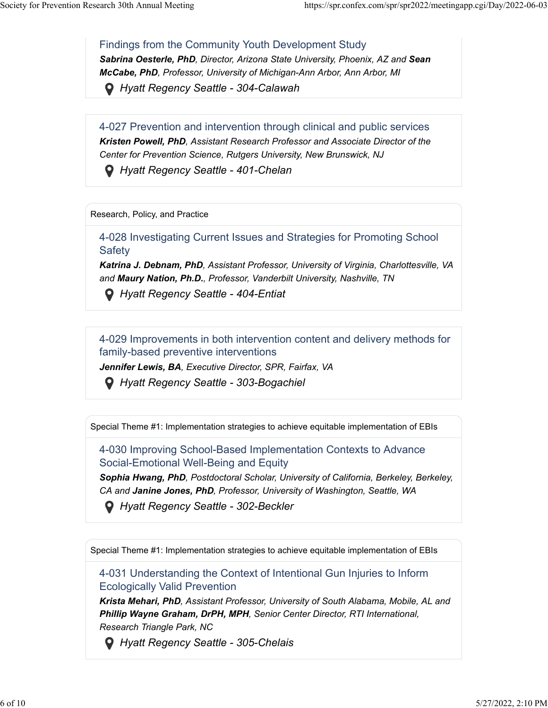#### Findings from the Community Youth Development Study

*Sabrina Oesterle, PhD, Director, Arizona State University, Phoenix, AZ and Sean McCabe, PhD, Professor, University of Michigan-Ann Arbor, Ann Arbor, MI*

 *Hyatt Regency Seattle - 304-Calawah*

4-027 Prevention and intervention through clinical and public services

*Kristen Powell, PhD, Assistant Research Professor and Associate Director of the Center for Prevention Science, Rutgers University, New Brunswick, NJ*

 *Hyatt Regency Seattle - 401-Chelan*

Research, Policy, and Practice

4-028 Investigating Current Issues and Strategies for Promoting School **Safety** 

*Katrina J. Debnam, PhD, Assistant Professor, University of Virginia, Charlottesville, VA and Maury Nation, Ph.D., Professor, Vanderbilt University, Nashville, TN*

 *Hyatt Regency Seattle - 404-Entiat*

4-029 Improvements in both intervention content and delivery methods for family-based preventive interventions

*Jennifer Lewis, BA, Executive Director, SPR, Fairfax, VA*

 *Hyatt Regency Seattle - 303-Bogachiel*

Special Theme #1: Implementation strategies to achieve equitable implementation of EBIs

4-030 Improving School-Based Implementation Contexts to Advance Social-Emotional Well-Being and Equity

*Sophia Hwang, PhD, Postdoctoral Scholar, University of California, Berkeley, Berkeley, CA and Janine Jones, PhD, Professor, University of Washington, Seattle, WA*

 *Hyatt Regency Seattle - 302-Beckler*

Special Theme #1: Implementation strategies to achieve equitable implementation of EBIs

4-031 Understanding the Context of Intentional Gun Injuries to Inform Ecologically Valid Prevention

*Krista Mehari, PhD, Assistant Professor, University of South Alabama, Mobile, AL and Phillip Wayne Graham, DrPH, MPH, Senior Center Director, RTI International, Research Triangle Park, NC*

 *Hyatt Regency Seattle - 305-Chelais*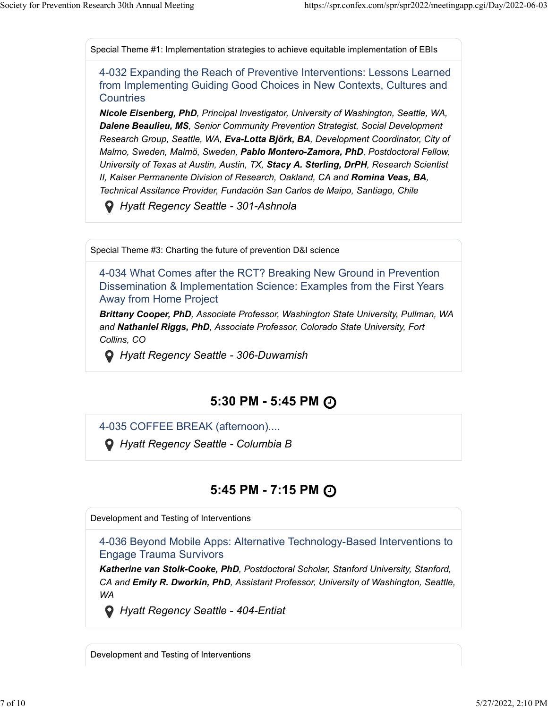Special Theme #1: Implementation strategies to achieve equitable implementation of EBIs

4-032 Expanding the Reach of Preventive Interventions: Lessons Learned from Implementing Guiding Good Choices in New Contexts, Cultures and **Countries** 

*Nicole Eisenberg, PhD, Principal Investigator, University of Washington, Seattle, WA, Dalene Beaulieu, MS, Senior Community Prevention Strategist, Social Development Research Group, Seattle, WA, Eva-Lotta Björk, BA, Development Coordinator, City of Malmo, Sweden, Malmö, Sweden, Pablo Montero-Zamora, PhD, Postdoctoral Fellow, University of Texas at Austin, Austin, TX, Stacy A. Sterling, DrPH, Research Scientist II, Kaiser Permanente Division of Research, Oakland, CA and Romina Veas, BA, Technical Assitance Provider, Fundación San Carlos de Maipo, Santiago, Chile*

 *Hyatt Regency Seattle - 301-Ashnola*

Special Theme #3: Charting the future of prevention D&I science

4-034 What Comes after the RCT? Breaking New Ground in Prevention Dissemination & Implementation Science: Examples from the First Years Away from Home Project

*Brittany Cooper, PhD, Associate Professor, Washington State University, Pullman, WA and Nathaniel Riggs, PhD, Associate Professor, Colorado State University, Fort Collins, CO*

 *Hyatt Regency Seattle - 306-Duwamish*

### **5:30 PM - 5:45 PM**

4-035 COFFEE BREAK (afternoon)....

 *Hyatt Regency Seattle - Columbia B*

### **5:45 PM - 7:15 PM**

Development and Testing of Interventions

4-036 Beyond Mobile Apps: Alternative Technology-Based Interventions to Engage Trauma Survivors

*Katherine van Stolk-Cooke, PhD, Postdoctoral Scholar, Stanford University, Stanford, CA and Emily R. Dworkin, PhD, Assistant Professor, University of Washington, Seattle, WA*

 *Hyatt Regency Seattle - 404-Entiat*

Development and Testing of Interventions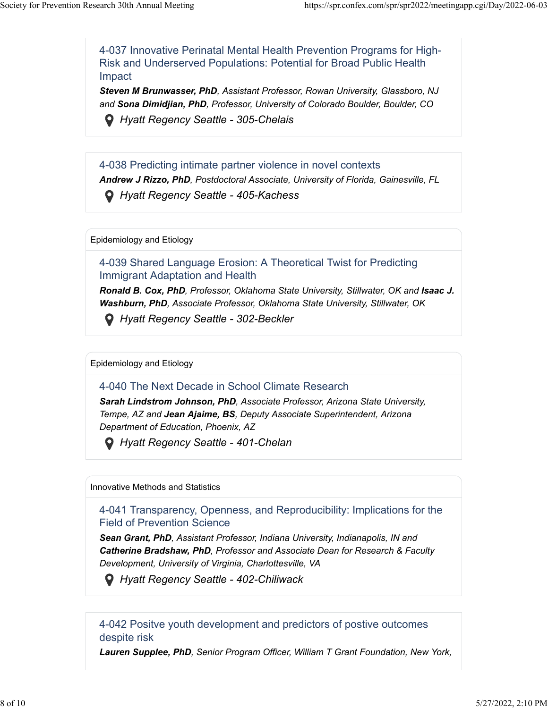4-037 Innovative Perinatal Mental Health Prevention Programs for High-Risk and Underserved Populations: Potential for Broad Public Health Impact

*Steven M Brunwasser, PhD, Assistant Professor, Rowan University, Glassboro, NJ and Sona Dimidjian, PhD, Professor, University of Colorado Boulder, Boulder, CO*

 *Hyatt Regency Seattle - 305-Chelais*

4-038 Predicting intimate partner violence in novel contexts *Andrew J Rizzo, PhD, Postdoctoral Associate, University of Florida, Gainesville, FL Hyatt Regency Seattle - 405-Kachess*

Epidemiology and Etiology

4-039 Shared Language Erosion: A Theoretical Twist for Predicting Immigrant Adaptation and Health

**Ronald B. Cox, PhD**, Professor, Oklahoma State University, Stillwater, OK and **Isaac J.** *Washburn, PhD, Associate Professor, Oklahoma State University, Stillwater, OK*

 *Hyatt Regency Seattle - 302-Beckler*

Epidemiology and Etiology

4-040 The Next Decade in School Climate Research

*Sarah Lindstrom Johnson, PhD, Associate Professor, Arizona State University, Tempe, AZ and Jean Ajaime, BS, Deputy Associate Superintendent, Arizona Department of Education, Phoenix, AZ*

 *Hyatt Regency Seattle - 401-Chelan*

Innovative Methods and Statistics

4-041 Transparency, Openness, and Reproducibility: Implications for the Field of Prevention Science

*Sean Grant, PhD, Assistant Professor, Indiana University, Indianapolis, IN and Catherine Bradshaw, PhD, Professor and Associate Dean for Research & Faculty Development, University of Virginia, Charlottesville, VA*

 *Hyatt Regency Seattle - 402-Chiliwack*

4-042 Positve youth development and predictors of postive outcomes despite risk

*Lauren Supplee, PhD, Senior Program Officer, William T Grant Foundation, New York,*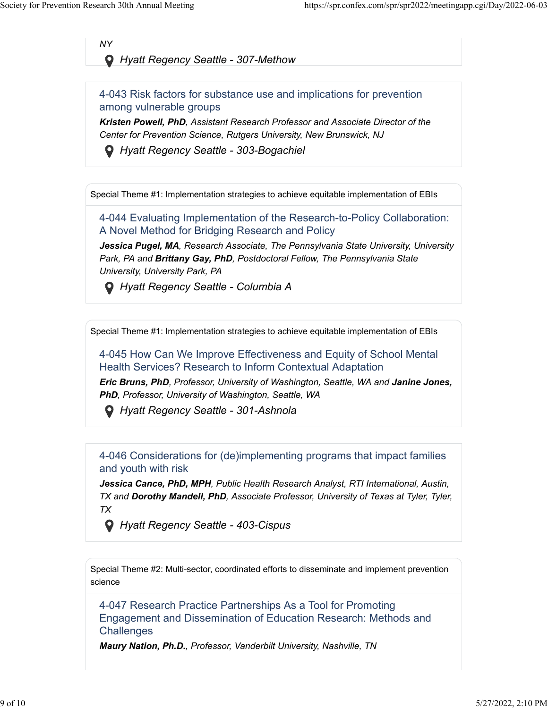*NY*

 *Hyatt Regency Seattle - 307-Methow*

4-043 Risk factors for substance use and implications for prevention among vulnerable groups

*Kristen Powell, PhD, Assistant Research Professor and Associate Director of the Center for Prevention Science, Rutgers University, New Brunswick, NJ*

 *Hyatt Regency Seattle - 303-Bogachiel*

Special Theme #1: Implementation strategies to achieve equitable implementation of EBIs

4-044 Evaluating Implementation of the Research-to-Policy Collaboration: A Novel Method for Bridging Research and Policy

*Jessica Pugel, MA, Research Associate, The Pennsylvania State University, University Park, PA and Brittany Gay, PhD, Postdoctoral Fellow, The Pennsylvania State University, University Park, PA*

 *Hyatt Regency Seattle - Columbia A*

Special Theme #1: Implementation strategies to achieve equitable implementation of EBIs

4-045 How Can We Improve Effectiveness and Equity of School Mental Health Services? Research to Inform Contextual Adaptation

*Eric Bruns, PhD, Professor, University of Washington, Seattle, WA and Janine Jones, PhD, Professor, University of Washington, Seattle, WA*

 *Hyatt Regency Seattle - 301-Ashnola*

4-046 Considerations for (de)implementing programs that impact families and youth with risk

*Jessica Cance, PhD, MPH, Public Health Research Analyst, RTI International, Austin, TX and Dorothy Mandell, PhD, Associate Professor, University of Texas at Tyler, Tyler, TX*

 *Hyatt Regency Seattle - 403-Cispus*

Special Theme #2: Multi-sector, coordinated efforts to disseminate and implement prevention science

4-047 Research Practice Partnerships As a Tool for Promoting Engagement and Dissemination of Education Research: Methods and **Challenges** 

*Maury Nation, Ph.D., Professor, Vanderbilt University, Nashville, TN*